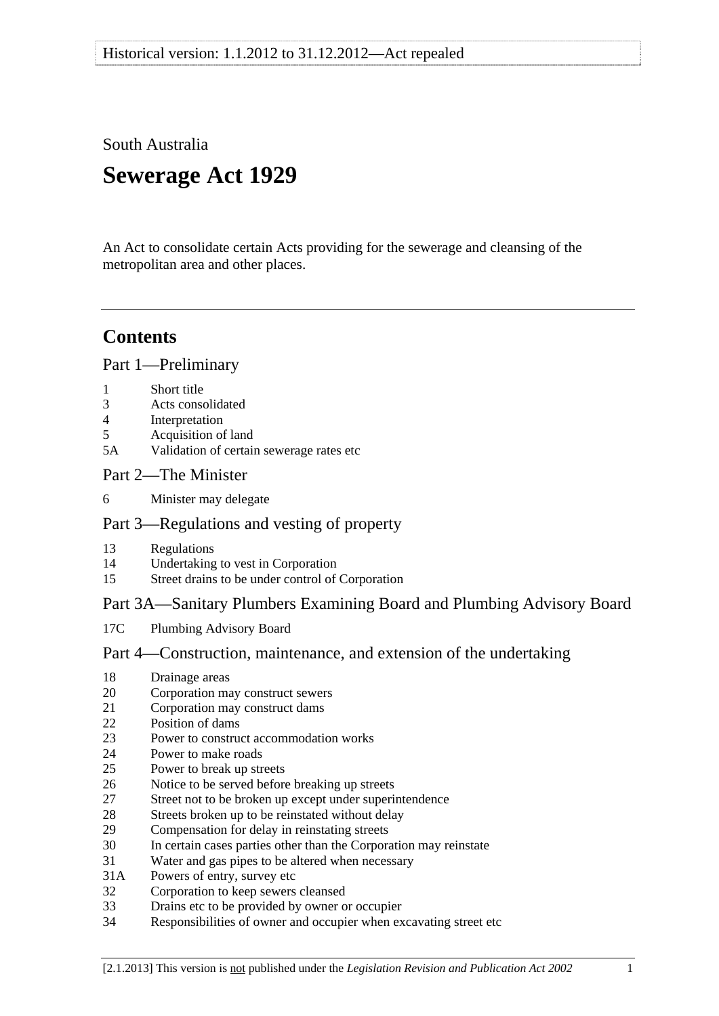South Australia

# **Sewerage Act 1929**

An Act to consolidate certain Acts providing for the sewerage and cleansing of the metropolitan area and other places.

# **Contents**

[Part 1—Preliminary](#page-2-0)

- [1 Short title](#page-2-0)
- [3 Acts consolidated](#page-2-0)
- [4 Interpretation](#page-2-0)
- [5 Acquisition of land](#page-3-0)
- [5A Validation of certain sewerage rates etc](#page-3-0)

# [Part 2—The Minister](#page-4-0)

[6 Minister may delegate](#page-4-0)

# [Part 3—Regulations and vesting of property](#page-4-0)

- [13 Regulations](#page-4-0)
- [14 Undertaking to vest in Corporation](#page-6-0)
- [15 Street drains to be under control of Corporation](#page-6-0)

# [Part 3A—Sanitary Plumbers Examining Board and Plumbing Advisory Board](#page-6-0)

[17C Plumbing Advisory Board](#page-6-0) 

# [Part 4—Construction, maintenance, and extension of the undertaking](#page-7-0)

- [18 Drainage areas](#page-7-0)
- [20 Corporation may construct sewers](#page-7-0)
- [21 Corporation may construct dams](#page-8-0)
- [22 Position of dams](#page-8-0)
- [23 Power to construct accommodation works](#page-8-0)
- [24 Power to make roads](#page-8-0)
- [25 Power to break up streets](#page-9-0)
- [26 Notice to be served before breaking up streets](#page-9-0)
- [27 Street not to be broken up except under superintendence](#page-9-0)
- [28 Streets broken up to be reinstated without delay](#page-10-0)
- [29 Compensation for delay in reinstating streets](#page-10-0)
- [30 In certain cases parties other than the Corporation may reinstate](#page-10-0)
- [31 Water and gas pipes to be altered when necessary](#page-11-0)
- [31A Powers of entry, survey etc](#page-11-0)
- [32 Corporation to keep sewers cleansed](#page-12-0)
- [33 Drains etc to be provided by owner or occupier](#page-12-0)
- [34 Responsibilities of owner and occupier when excavating street etc](#page-13-0)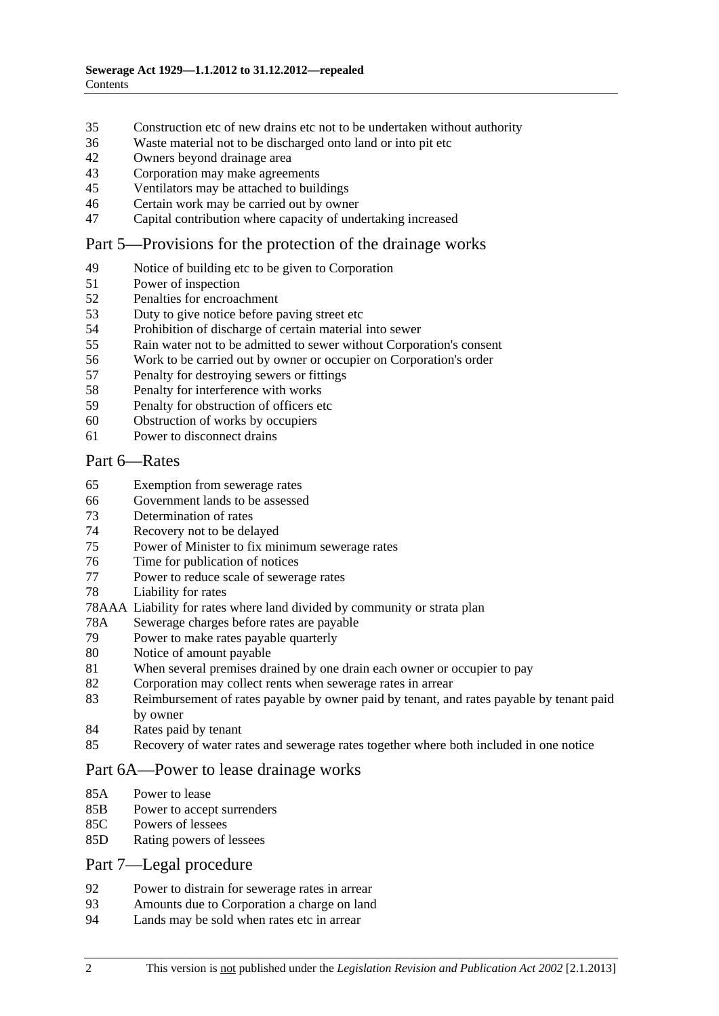- [35 Construction etc of new drains etc not to be undertaken without authority](#page-13-0)
- [36 Waste material not to be discharged onto land or into pit etc](#page-13-0)
- [42 Owners beyond drainage area](#page-14-0)
- [43 Corporation may make agreements](#page-14-0)
- [45 Ventilators may be attached to buildings](#page-14-0)
- [46 Certain work may be carried out by owner](#page-14-0)
- [47 Capital contribution where capacity of undertaking increased](#page-15-0)

# [Part 5—Provisions for the protection of the drainage works](#page-16-0)

- [49 Notice of building etc to be given to Corporation](#page-16-0)
- [51 Power of inspection](#page-16-0)
- [52 Penalties for encroachment](#page-16-0)
- [53 Duty to give notice before paving street etc](#page-17-0)
- [54 Prohibition of discharge of certain material into sewer](#page-18-0)
- [55 Rain water not to be admitted to sewer without Corporation's consent](#page-19-0)
- [56 Work to be carried out by owner or occupier on Corporation's order](#page-19-0)
- [57 Penalty for destroying sewers or fittings](#page-20-0)
- [58 Penalty for interference with works](#page-20-0)
- [59 Penalty for obstruction of officers etc](#page-20-0)
- [60 Obstruction of works by occupiers](#page-20-0)
- [61 Power to disconnect drains](#page-21-0)

#### [Part 6—Rates](#page-21-0)

- [65 Exemption from sewerage rates](#page-21-0)
- [66 Government lands to be assessed](#page-22-0)
- [73 Determination of rates](#page-22-0)
- [74 Recovery not to be delayed](#page-23-0)
- [75 Power of Minister to fix minimum sewerage rates](#page-23-0)
- [76 Time for publication of notices](#page-23-0)
- [77 Power to reduce scale of sewerage rates](#page-24-0)
- [78 Liability for rates](#page-24-0)
- [78AAA Liability for rates where land divided by community or strata plan](#page-24-0)
- [78A Sewerage charges before rates are payable](#page-25-0)
- [79 Power to make rates payable quarterly](#page-26-0)
- [80 Notice of amount payable](#page-26-0)
- [81 When several premises drained by one drain each owner or occupier to pay](#page-27-0)
- [82 Corporation may collect rents when sewerage rates in arrear](#page-27-0)
- [83 Reimbursement of rates payable by owner paid by tenant, and rates payable by tenant paid](#page-28-0)  [by owner](#page-28-0)
- [84 Rates paid by tenant](#page-28-0)
- [85 Recovery of water rates and sewerage rates together where both included in one notice](#page-28-0)

# [Part 6A—Power to lease drainage works](#page-28-0)

- [85A Power to lease](#page-28-0)
- [85B Power to accept surrenders](#page-29-0)
- [85C Powers of lessees](#page-29-0)
- [85D Rating powers of lessees](#page-29-0)

#### [Part 7—Legal procedure](#page-29-0)

- [92 Power to distrain for sewerage rates in arrear](#page-29-0)
- [93 Amounts due to Corporation a charge on land](#page-30-0)
- [94 Lands may be sold when rates etc in arrear](#page-30-0)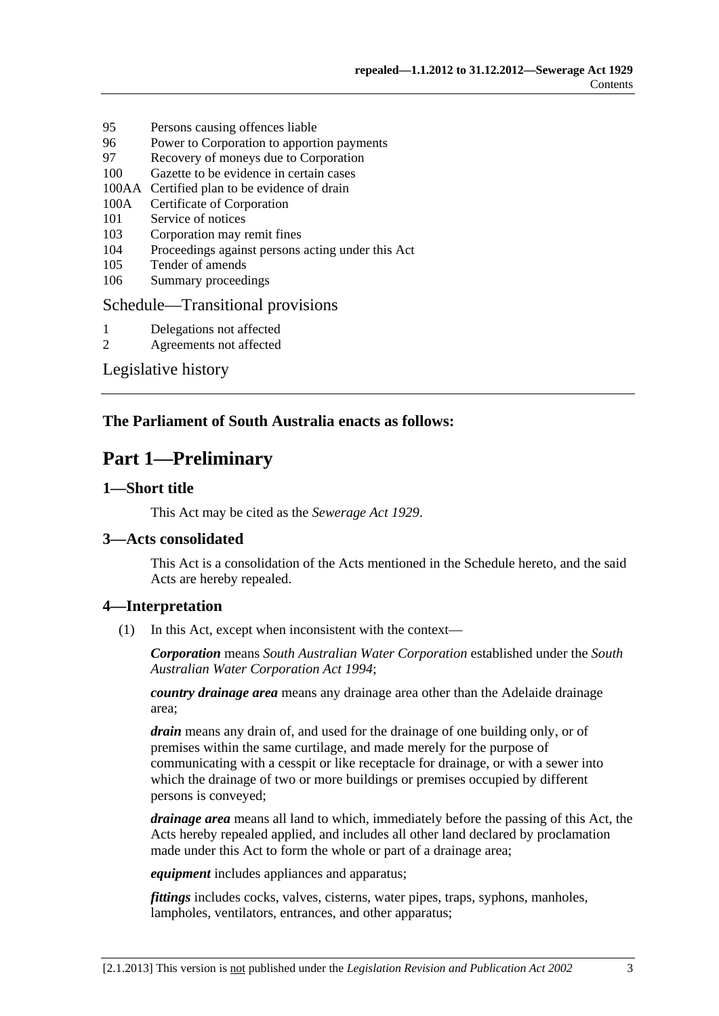- <span id="page-2-0"></span>[95 Persons causing offences liable](#page-31-0)
- [96 Power to Corporation to apportion payments](#page-32-0)
- [97 Recovery of moneys due to Corporation](#page-32-0)
- [100 Gazette to be evidence in certain cases](#page-32-0)
- [100AA Certified plan to be evidence of drain](#page-32-0)
- [100A Certificate of Corporation](#page-32-0)
- [101 Service of notices](#page-32-0)
- [103 Corporation may remit fines](#page-33-0)
- [104 Proceedings against persons acting under this Act](#page-33-0)
- [105 Tender of amends](#page-33-0)
- [106 Summary proceedings](#page-34-0)

#### [Schedule—Transitional provisions](#page-34-0)

- [1 Delegations not affected](#page-34-0)
- [2 Agreements not affected](#page-34-0)

[Legislative history](#page-35-0) 

# **The Parliament of South Australia enacts as follows:**

# **Part 1—Preliminary**

# **1—Short title**

This Act may be cited as the *Sewerage Act 1929*.

# **3—Acts consolidated**

This Act is a consolidation of the Acts mentioned in the [Schedule](#page-34-0) hereto, and the said Acts are hereby repealed.

#### **4—Interpretation**

(1) In this Act, except when inconsistent with the context—

*Corporation* means *South Australian Water Corporation* established under the *[South](http://www.legislation.sa.gov.au/index.aspx?action=legref&type=act&legtitle=South%20Australian%20Water%20Corporation%20Act%201994)  [Australian Water Corporation Act 1994](http://www.legislation.sa.gov.au/index.aspx?action=legref&type=act&legtitle=South%20Australian%20Water%20Corporation%20Act%201994)*;

*country drainage area* means any drainage area other than the Adelaide drainage area;

*drain* means any drain of, and used for the drainage of one building only, or of premises within the same curtilage, and made merely for the purpose of communicating with a cesspit or like receptacle for drainage, or with a sewer into which the drainage of two or more buildings or premises occupied by different persons is conveyed;

*drainage area* means all land to which, immediately before the passing of this Act, the Acts hereby repealed applied, and includes all other land declared by proclamation made under this Act to form the whole or part of a drainage area;

*equipment* includes appliances and apparatus;

*fittings* includes cocks, valves, cisterns, water pipes, traps, syphons, manholes, lampholes, ventilators, entrances, and other apparatus;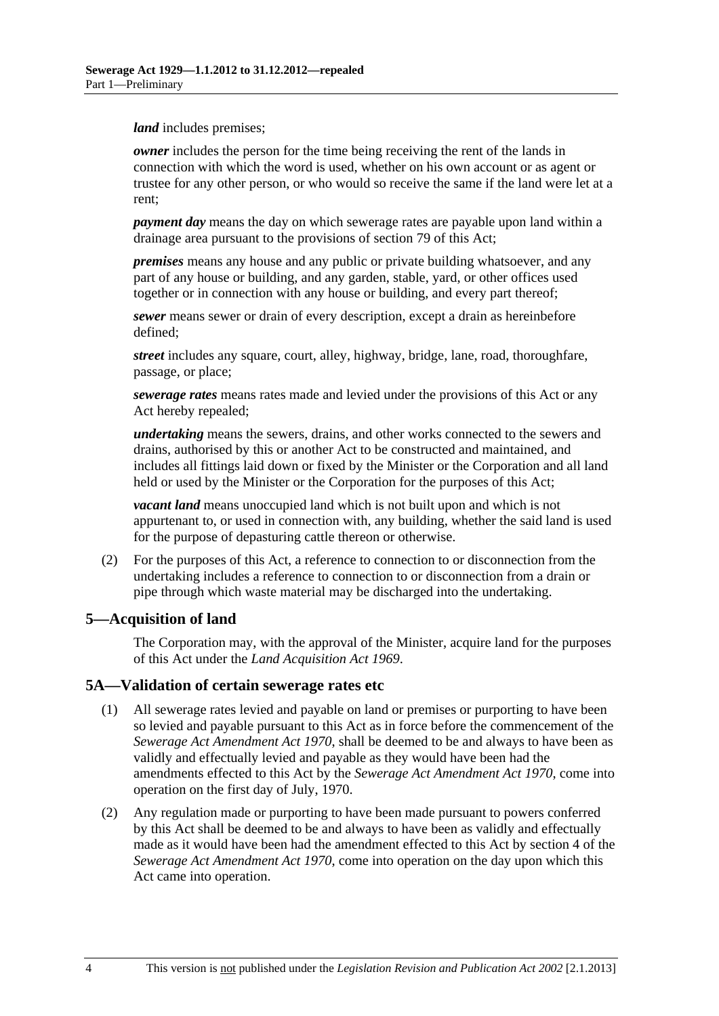<span id="page-3-0"></span>*land* includes premises;

*owner* includes the person for the time being receiving the rent of the lands in connection with which the word is used, whether on his own account or as agent or trustee for any other person, or who would so receive the same if the land were let at a rent;

*payment day* means the day on which sewerage rates are payable upon land within a drainage area pursuant to the provisions of [section 79](#page-26-0) of this Act;

*premises* means any house and any public or private building whatsoever, and any part of any house or building, and any garden, stable, yard, or other offices used together or in connection with any house or building, and every part thereof;

*sewer* means sewer or drain of every description, except a drain as hereinbefore defined;

*street* includes any square, court, alley, highway, bridge, lane, road, thoroughfare, passage, or place;

*sewerage rates* means rates made and levied under the provisions of this Act or any Act hereby repealed;

*undertaking* means the sewers, drains, and other works connected to the sewers and drains, authorised by this or another Act to be constructed and maintained, and includes all fittings laid down or fixed by the Minister or the Corporation and all land held or used by the Minister or the Corporation for the purposes of this Act;

*vacant land* means unoccupied land which is not built upon and which is not appurtenant to, or used in connection with, any building, whether the said land is used for the purpose of depasturing cattle thereon or otherwise.

 (2) For the purposes of this Act, a reference to connection to or disconnection from the undertaking includes a reference to connection to or disconnection from a drain or pipe through which waste material may be discharged into the undertaking.

# **5—Acquisition of land**

The Corporation may, with the approval of the Minister, acquire land for the purposes of this Act under the *[Land Acquisition Act 1969](http://www.legislation.sa.gov.au/index.aspx?action=legref&type=act&legtitle=Land%20Acquisition%20Act%201969)*.

# **5A—Validation of certain sewerage rates etc**

- (1) All sewerage rates levied and payable on land or premises or purporting to have been so levied and payable pursuant to this Act as in force before the commencement of the *[Sewerage Act Amendment Act 1970](http://www.legislation.sa.gov.au/index.aspx?action=legref&type=act&legtitle=Sewerage%20Act%20Amendment%20Act%201970)*, shall be deemed to be and always to have been as validly and effectually levied and payable as they would have been had the amendments effected to this Act by the *[Sewerage Act Amendment Act 1970](http://www.legislation.sa.gov.au/index.aspx?action=legref&type=act&legtitle=Sewerage%20Act%20Amendment%20Act%201970)*, come into operation on the first day of July, 1970.
- (2) Any regulation made or purporting to have been made pursuant to powers conferred by this Act shall be deemed to be and always to have been as validly and effectually made as it would have been had the amendment effected to this Act by section 4 of the *[Sewerage Act Amendment Act 1970](http://www.legislation.sa.gov.au/index.aspx?action=legref&type=act&legtitle=Sewerage%20Act%20Amendment%20Act%201970)*, come into operation on the day upon which this Act came into operation.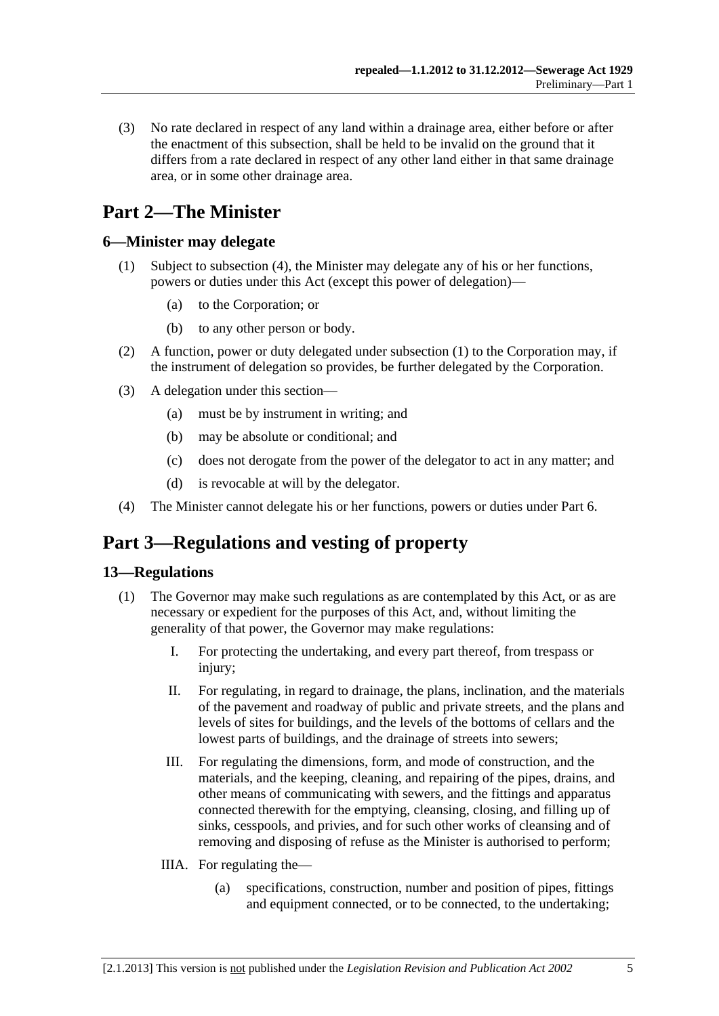<span id="page-4-0"></span> (3) No rate declared in respect of any land within a drainage area, either before or after the enactment of this subsection, shall be held to be invalid on the ground that it differs from a rate declared in respect of any other land either in that same drainage area, or in some other drainage area.

# **Part 2—The Minister**

# **6—Minister may delegate**

- (1) Subject to [subsection \(4\),](#page-4-0) the Minister may delegate any of his or her functions, powers or duties under this Act (except this power of delegation)—
	- (a) to the Corporation; or
	- (b) to any other person or body.
- (2) A function, power or duty delegated under [subsection \(1\)](#page-4-0) to the Corporation may, if the instrument of delegation so provides, be further delegated by the Corporation.
- (3) A delegation under this section—
	- (a) must be by instrument in writing; and
	- (b) may be absolute or conditional; and
	- (c) does not derogate from the power of the delegator to act in any matter; and
	- (d) is revocable at will by the delegator.
- (4) The Minister cannot delegate his or her functions, powers or duties under [Part 6](#page-21-0).

# **Part 3—Regulations and vesting of property**

# **13—Regulations**

- (1) The Governor may make such regulations as are contemplated by this Act, or as are necessary or expedient for the purposes of this Act, and, without limiting the generality of that power, the Governor may make regulations:
	- I. For protecting the undertaking, and every part thereof, from trespass or injury;
	- II. For regulating, in regard to drainage, the plans, inclination, and the materials of the pavement and roadway of public and private streets, and the plans and levels of sites for buildings, and the levels of the bottoms of cellars and the lowest parts of buildings, and the drainage of streets into sewers;
	- III. For regulating the dimensions, form, and mode of construction, and the materials, and the keeping, cleaning, and repairing of the pipes, drains, and other means of communicating with sewers, and the fittings and apparatus connected therewith for the emptying, cleansing, closing, and filling up of sinks, cesspools, and privies, and for such other works of cleansing and of removing and disposing of refuse as the Minister is authorised to perform;
	- IIIA. For regulating the—
		- (a) specifications, construction, number and position of pipes, fittings and equipment connected, or to be connected, to the undertaking;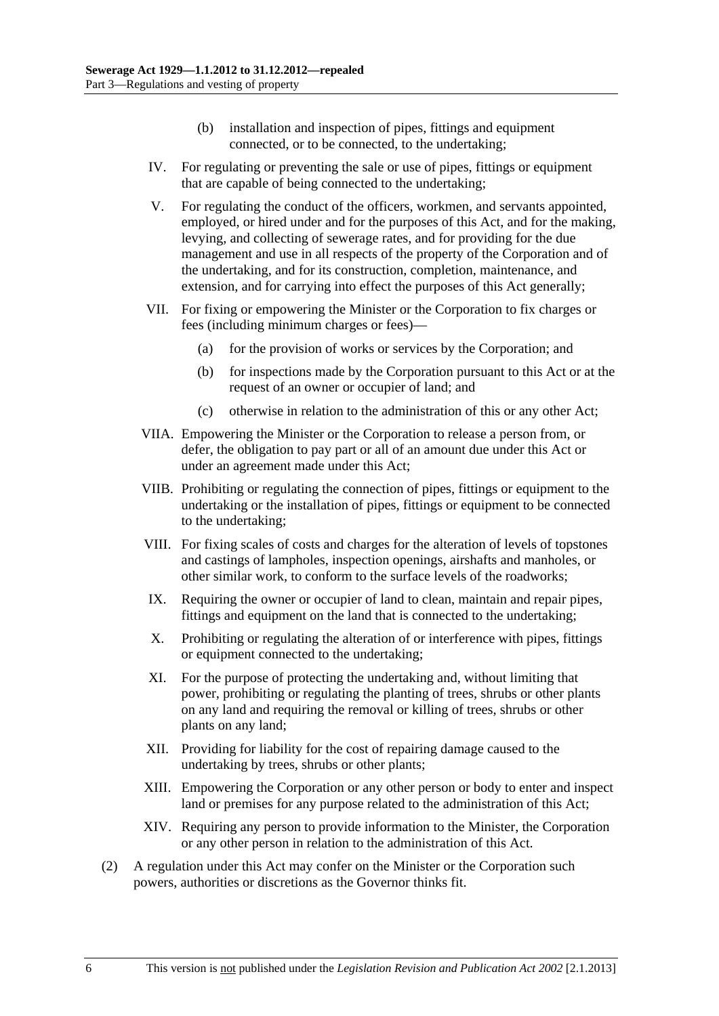- (b) installation and inspection of pipes, fittings and equipment connected, or to be connected, to the undertaking;
- IV. For regulating or preventing the sale or use of pipes, fittings or equipment that are capable of being connected to the undertaking;
- V. For regulating the conduct of the officers, workmen, and servants appointed, employed, or hired under and for the purposes of this Act, and for the making, levying, and collecting of sewerage rates, and for providing for the due management and use in all respects of the property of the Corporation and of the undertaking, and for its construction, completion, maintenance, and extension, and for carrying into effect the purposes of this Act generally;
- VII. For fixing or empowering the Minister or the Corporation to fix charges or fees (including minimum charges or fees)—
	- (a) for the provision of works or services by the Corporation; and
	- (b) for inspections made by the Corporation pursuant to this Act or at the request of an owner or occupier of land; and
	- (c) otherwise in relation to the administration of this or any other Act;
- VIIA. Empowering the Minister or the Corporation to release a person from, or defer, the obligation to pay part or all of an amount due under this Act or under an agreement made under this Act;
- VIIB. Prohibiting or regulating the connection of pipes, fittings or equipment to the undertaking or the installation of pipes, fittings or equipment to be connected to the undertaking;
- VIII. For fixing scales of costs and charges for the alteration of levels of topstones and castings of lampholes, inspection openings, airshafts and manholes, or other similar work, to conform to the surface levels of the roadworks;
- IX. Requiring the owner or occupier of land to clean, maintain and repair pipes, fittings and equipment on the land that is connected to the undertaking;
- X. Prohibiting or regulating the alteration of or interference with pipes, fittings or equipment connected to the undertaking;
- XI. For the purpose of protecting the undertaking and, without limiting that power, prohibiting or regulating the planting of trees, shrubs or other plants on any land and requiring the removal or killing of trees, shrubs or other plants on any land;
- XII. Providing for liability for the cost of repairing damage caused to the undertaking by trees, shrubs or other plants;
- XIII. Empowering the Corporation or any other person or body to enter and inspect land or premises for any purpose related to the administration of this Act;
- XIV. Requiring any person to provide information to the Minister, the Corporation or any other person in relation to the administration of this Act.
- (2) A regulation under this Act may confer on the Minister or the Corporation such powers, authorities or discretions as the Governor thinks fit.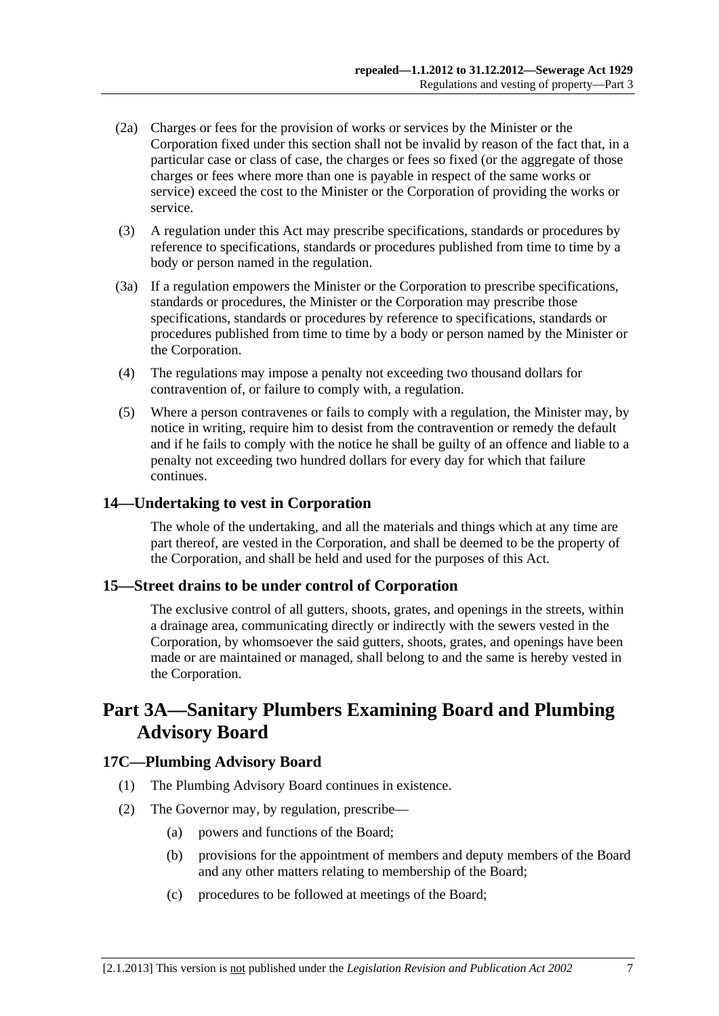- <span id="page-6-0"></span> (2a) Charges or fees for the provision of works or services by the Minister or the Corporation fixed under this section shall not be invalid by reason of the fact that, in a particular case or class of case, the charges or fees so fixed (or the aggregate of those charges or fees where more than one is payable in respect of the same works or service) exceed the cost to the Minister or the Corporation of providing the works or service.
- (3) A regulation under this Act may prescribe specifications, standards or procedures by reference to specifications, standards or procedures published from time to time by a body or person named in the regulation.
- (3a) If a regulation empowers the Minister or the Corporation to prescribe specifications, standards or procedures, the Minister or the Corporation may prescribe those specifications, standards or procedures by reference to specifications, standards or procedures published from time to time by a body or person named by the Minister or the Corporation.
- (4) The regulations may impose a penalty not exceeding two thousand dollars for contravention of, or failure to comply with, a regulation.
- (5) Where a person contravenes or fails to comply with a regulation, the Minister may, by notice in writing, require him to desist from the contravention or remedy the default and if he fails to comply with the notice he shall be guilty of an offence and liable to a penalty not exceeding two hundred dollars for every day for which that failure continues.

# **14—Undertaking to vest in Corporation**

The whole of the undertaking, and all the materials and things which at any time are part thereof, are vested in the Corporation, and shall be deemed to be the property of the Corporation, and shall be held and used for the purposes of this Act.

# **15—Street drains to be under control of Corporation**

The exclusive control of all gutters, shoots, grates, and openings in the streets, within a drainage area, communicating directly or indirectly with the sewers vested in the Corporation, by whomsoever the said gutters, shoots, grates, and openings have been made or are maintained or managed, shall belong to and the same is hereby vested in the Corporation.

# **Part 3A—Sanitary Plumbers Examining Board and Plumbing Advisory Board**

# **17C—Plumbing Advisory Board**

- (1) The Plumbing Advisory Board continues in existence.
- (2) The Governor may, by regulation, prescribe—
	- (a) powers and functions of the Board;
	- (b) provisions for the appointment of members and deputy members of the Board and any other matters relating to membership of the Board;
	- (c) procedures to be followed at meetings of the Board;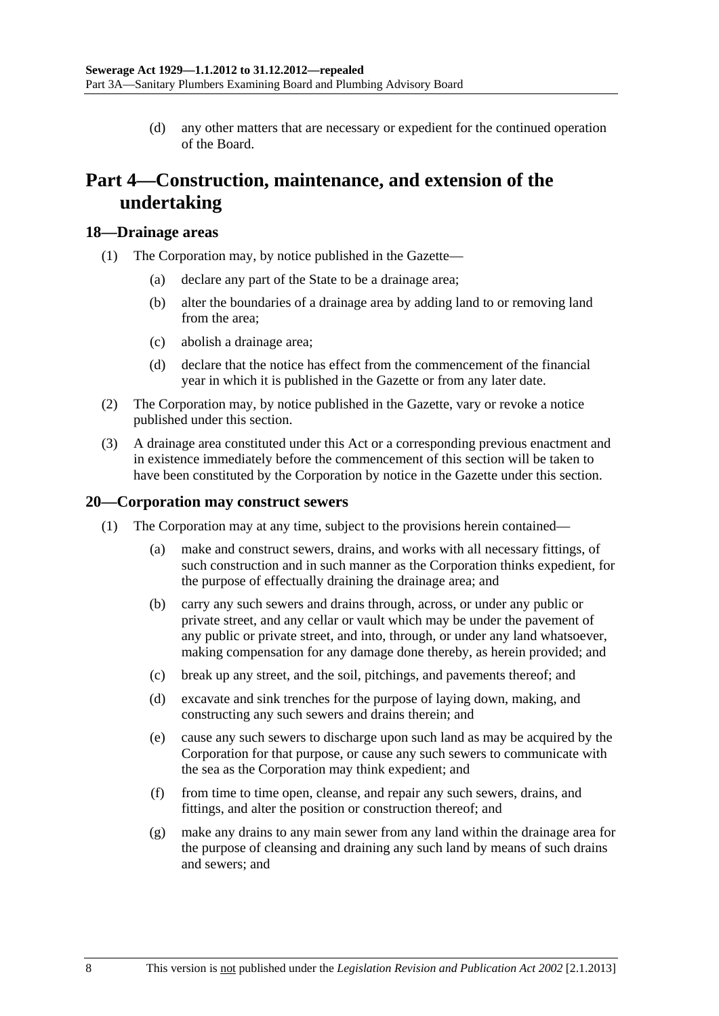(d) any other matters that are necessary or expedient for the continued operation of the Board.

# <span id="page-7-0"></span>**Part 4—Construction, maintenance, and extension of the undertaking**

#### **18—Drainage areas**

- (1) The Corporation may, by notice published in the Gazette—
	- (a) declare any part of the State to be a drainage area;
	- (b) alter the boundaries of a drainage area by adding land to or removing land from the area;
	- (c) abolish a drainage area;
	- (d) declare that the notice has effect from the commencement of the financial year in which it is published in the Gazette or from any later date.
- (2) The Corporation may, by notice published in the Gazette, vary or revoke a notice published under this section.
- (3) A drainage area constituted under this Act or a corresponding previous enactment and in existence immediately before the commencement of this section will be taken to have been constituted by the Corporation by notice in the Gazette under this section.

### **20—Corporation may construct sewers**

- (1) The Corporation may at any time, subject to the provisions herein contained—
	- (a) make and construct sewers, drains, and works with all necessary fittings, of such construction and in such manner as the Corporation thinks expedient, for the purpose of effectually draining the drainage area; and
	- (b) carry any such sewers and drains through, across, or under any public or private street, and any cellar or vault which may be under the pavement of any public or private street, and into, through, or under any land whatsoever, making compensation for any damage done thereby, as herein provided; and
	- (c) break up any street, and the soil, pitchings, and pavements thereof; and
	- (d) excavate and sink trenches for the purpose of laying down, making, and constructing any such sewers and drains therein; and
	- (e) cause any such sewers to discharge upon such land as may be acquired by the Corporation for that purpose, or cause any such sewers to communicate with the sea as the Corporation may think expedient; and
	- (f) from time to time open, cleanse, and repair any such sewers, drains, and fittings, and alter the position or construction thereof; and
	- (g) make any drains to any main sewer from any land within the drainage area for the purpose of cleansing and draining any such land by means of such drains and sewers; and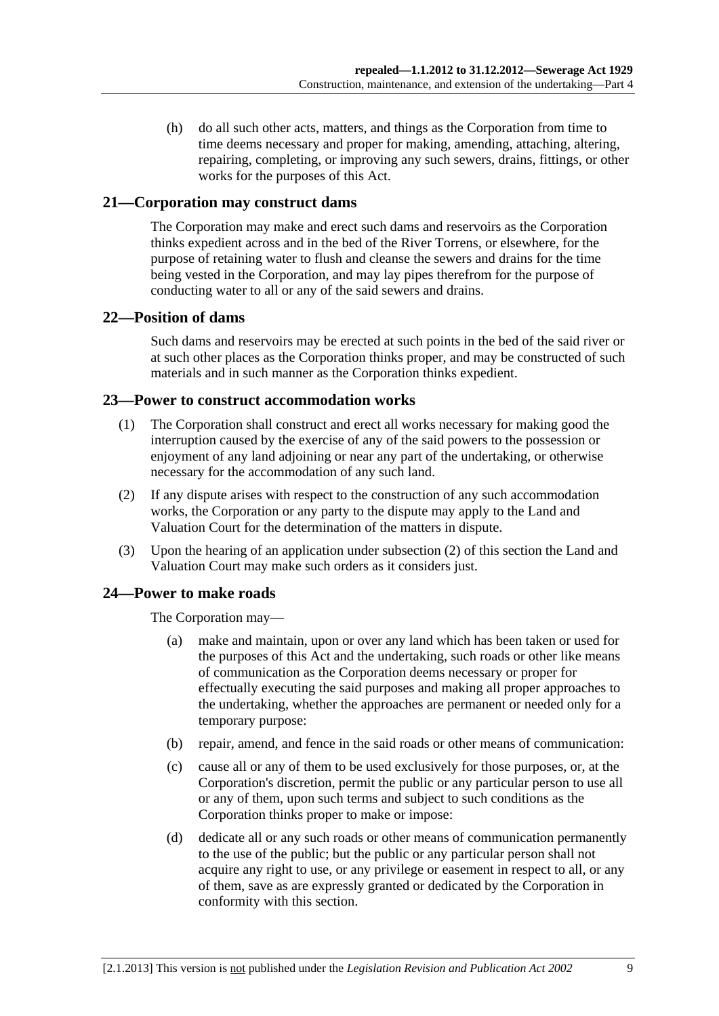<span id="page-8-0"></span> (h) do all such other acts, matters, and things as the Corporation from time to time deems necessary and proper for making, amending, attaching, altering, repairing, completing, or improving any such sewers, drains, fittings, or other works for the purposes of this Act.

# **21—Corporation may construct dams**

The Corporation may make and erect such dams and reservoirs as the Corporation thinks expedient across and in the bed of the River Torrens, or elsewhere, for the purpose of retaining water to flush and cleanse the sewers and drains for the time being vested in the Corporation, and may lay pipes therefrom for the purpose of conducting water to all or any of the said sewers and drains.

# **22—Position of dams**

Such dams and reservoirs may be erected at such points in the bed of the said river or at such other places as the Corporation thinks proper, and may be constructed of such materials and in such manner as the Corporation thinks expedient.

#### **23—Power to construct accommodation works**

- (1) The Corporation shall construct and erect all works necessary for making good the interruption caused by the exercise of any of the said powers to the possession or enjoyment of any land adjoining or near any part of the undertaking, or otherwise necessary for the accommodation of any such land.
- (2) If any dispute arises with respect to the construction of any such accommodation works, the Corporation or any party to the dispute may apply to the Land and Valuation Court for the determination of the matters in dispute.
- (3) Upon the hearing of an application under [subsection \(2\)](#page-8-0) of this section the Land and Valuation Court may make such orders as it considers just.

# **24—Power to make roads**

The Corporation may—

- (a) make and maintain, upon or over any land which has been taken or used for the purposes of this Act and the undertaking, such roads or other like means of communication as the Corporation deems necessary or proper for effectually executing the said purposes and making all proper approaches to the undertaking, whether the approaches are permanent or needed only for a temporary purpose:
- (b) repair, amend, and fence in the said roads or other means of communication:
- (c) cause all or any of them to be used exclusively for those purposes, or, at the Corporation's discretion, permit the public or any particular person to use all or any of them, upon such terms and subject to such conditions as the Corporation thinks proper to make or impose:
- (d) dedicate all or any such roads or other means of communication permanently to the use of the public; but the public or any particular person shall not acquire any right to use, or any privilege or easement in respect to all, or any of them, save as are expressly granted or dedicated by the Corporation in conformity with this section.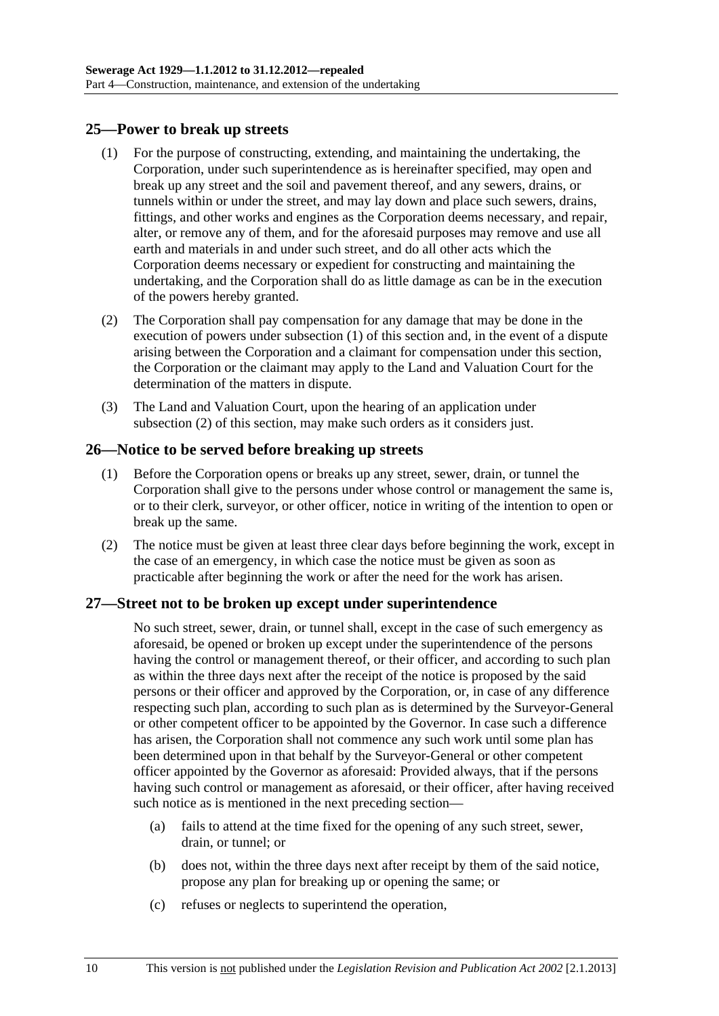# <span id="page-9-0"></span>**25—Power to break up streets**

- (1) For the purpose of constructing, extending, and maintaining the undertaking, the Corporation, under such superintendence as is hereinafter specified, may open and break up any street and the soil and pavement thereof, and any sewers, drains, or tunnels within or under the street, and may lay down and place such sewers, drains, fittings, and other works and engines as the Corporation deems necessary, and repair, alter, or remove any of them, and for the aforesaid purposes may remove and use all earth and materials in and under such street, and do all other acts which the Corporation deems necessary or expedient for constructing and maintaining the undertaking, and the Corporation shall do as little damage as can be in the execution of the powers hereby granted.
- (2) The Corporation shall pay compensation for any damage that may be done in the execution of powers under [subsection \(1\)](#page-9-0) of this section and, in the event of a dispute arising between the Corporation and a claimant for compensation under this section, the Corporation or the claimant may apply to the Land and Valuation Court for the determination of the matters in dispute.
- (3) The Land and Valuation Court, upon the hearing of an application under [subsection \(2\)](#page-9-0) of this section, may make such orders as it considers just.

# **26—Notice to be served before breaking up streets**

- (1) Before the Corporation opens or breaks up any street, sewer, drain, or tunnel the Corporation shall give to the persons under whose control or management the same is, or to their clerk, surveyor, or other officer, notice in writing of the intention to open or break up the same.
- (2) The notice must be given at least three clear days before beginning the work, except in the case of an emergency, in which case the notice must be given as soon as practicable after beginning the work or after the need for the work has arisen.

# **27—Street not to be broken up except under superintendence**

No such street, sewer, drain, or tunnel shall, except in the case of such emergency as aforesaid, be opened or broken up except under the superintendence of the persons having the control or management thereof, or their officer, and according to such plan as within the three days next after the receipt of the notice is proposed by the said persons or their officer and approved by the Corporation, or, in case of any difference respecting such plan, according to such plan as is determined by the Surveyor-General or other competent officer to be appointed by the Governor. In case such a difference has arisen, the Corporation shall not commence any such work until some plan has been determined upon in that behalf by the Surveyor-General or other competent officer appointed by the Governor as aforesaid: Provided always, that if the persons having such control or management as aforesaid, or their officer, after having received such notice as is mentioned in the next preceding section—

- (a) fails to attend at the time fixed for the opening of any such street, sewer, drain, or tunnel; or
- (b) does not, within the three days next after receipt by them of the said notice, propose any plan for breaking up or opening the same; or
- (c) refuses or neglects to superintend the operation,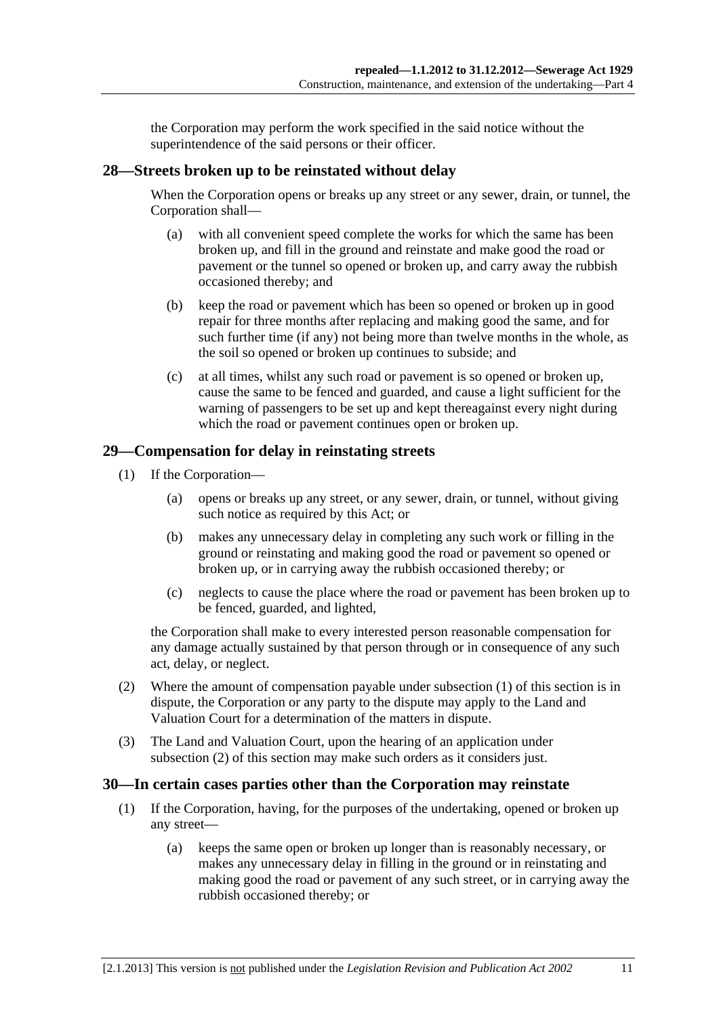the Corporation may perform the work specified in the said notice without the superintendence of the said persons or their officer.

# <span id="page-10-0"></span>**28—Streets broken up to be reinstated without delay**

When the Corporation opens or breaks up any street or any sewer, drain, or tunnel, the Corporation shall—

- (a) with all convenient speed complete the works for which the same has been broken up, and fill in the ground and reinstate and make good the road or pavement or the tunnel so opened or broken up, and carry away the rubbish occasioned thereby; and
- (b) keep the road or pavement which has been so opened or broken up in good repair for three months after replacing and making good the same, and for such further time (if any) not being more than twelve months in the whole, as the soil so opened or broken up continues to subside; and
- (c) at all times, whilst any such road or pavement is so opened or broken up, cause the same to be fenced and guarded, and cause a light sufficient for the warning of passengers to be set up and kept thereagainst every night during which the road or pavement continues open or broken up.

# **29—Compensation for delay in reinstating streets**

- (1) If the Corporation—
	- (a) opens or breaks up any street, or any sewer, drain, or tunnel, without giving such notice as required by this Act; or
	- (b) makes any unnecessary delay in completing any such work or filling in the ground or reinstating and making good the road or pavement so opened or broken up, or in carrying away the rubbish occasioned thereby; or
	- (c) neglects to cause the place where the road or pavement has been broken up to be fenced, guarded, and lighted,

the Corporation shall make to every interested person reasonable compensation for any damage actually sustained by that person through or in consequence of any such act, delay, or neglect.

- (2) Where the amount of compensation payable under [subsection \(1\)](#page-10-0) of this section is in dispute, the Corporation or any party to the dispute may apply to the Land and Valuation Court for a determination of the matters in dispute.
- (3) The Land and Valuation Court, upon the hearing of an application under [subsection \(2\)](#page-10-0) of this section may make such orders as it considers just.

# **30—In certain cases parties other than the Corporation may reinstate**

- (1) If the Corporation, having, for the purposes of the undertaking, opened or broken up any street—
	- (a) keeps the same open or broken up longer than is reasonably necessary, or makes any unnecessary delay in filling in the ground or in reinstating and making good the road or pavement of any such street, or in carrying away the rubbish occasioned thereby; or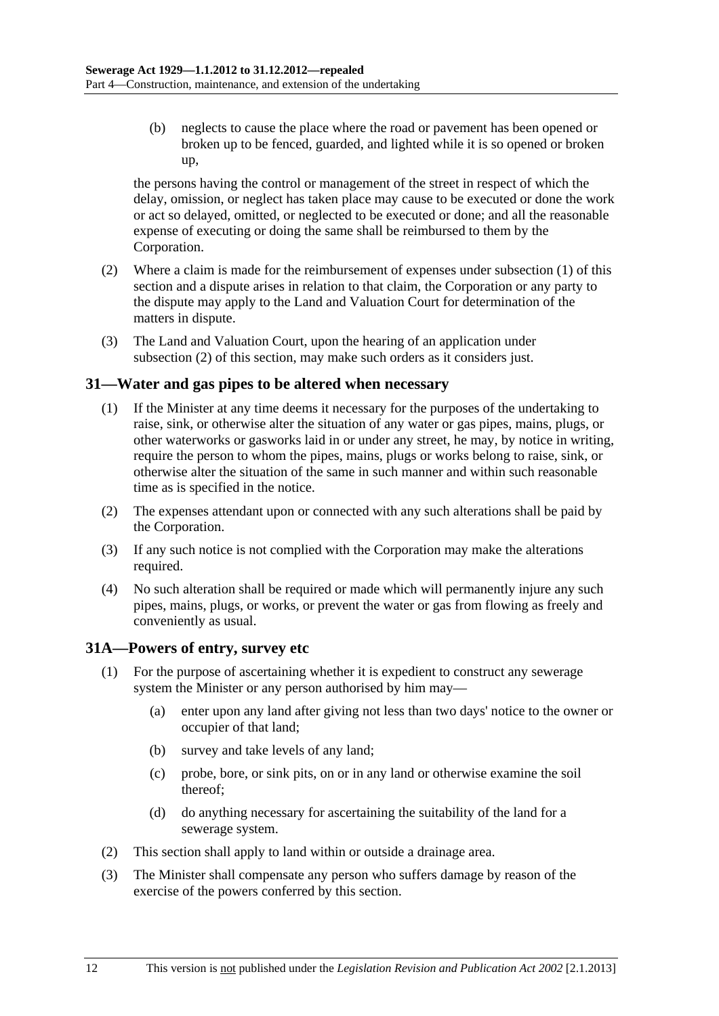<span id="page-11-0"></span> (b) neglects to cause the place where the road or pavement has been opened or broken up to be fenced, guarded, and lighted while it is so opened or broken up,

the persons having the control or management of the street in respect of which the delay, omission, or neglect has taken place may cause to be executed or done the work or act so delayed, omitted, or neglected to be executed or done; and all the reasonable expense of executing or doing the same shall be reimbursed to them by the Corporation.

- (2) Where a claim is made for the reimbursement of expenses under [subsection \(1\)](#page-10-0) of this section and a dispute arises in relation to that claim, the Corporation or any party to the dispute may apply to the Land and Valuation Court for determination of the matters in dispute.
- (3) The Land and Valuation Court, upon the hearing of an application under [subsection \(2\)](#page-11-0) of this section, may make such orders as it considers just.

# **31—Water and gas pipes to be altered when necessary**

- (1) If the Minister at any time deems it necessary for the purposes of the undertaking to raise, sink, or otherwise alter the situation of any water or gas pipes, mains, plugs, or other waterworks or gasworks laid in or under any street, he may, by notice in writing, require the person to whom the pipes, mains, plugs or works belong to raise, sink, or otherwise alter the situation of the same in such manner and within such reasonable time as is specified in the notice.
- (2) The expenses attendant upon or connected with any such alterations shall be paid by the Corporation.
- (3) If any such notice is not complied with the Corporation may make the alterations required.
- (4) No such alteration shall be required or made which will permanently injure any such pipes, mains, plugs, or works, or prevent the water or gas from flowing as freely and conveniently as usual.

# **31A—Powers of entry, survey etc**

- (1) For the purpose of ascertaining whether it is expedient to construct any sewerage system the Minister or any person authorised by him may—
	- (a) enter upon any land after giving not less than two days' notice to the owner or occupier of that land;
	- (b) survey and take levels of any land;
	- (c) probe, bore, or sink pits, on or in any land or otherwise examine the soil thereof;
	- (d) do anything necessary for ascertaining the suitability of the land for a sewerage system.
- (2) This section shall apply to land within or outside a drainage area.
- (3) The Minister shall compensate any person who suffers damage by reason of the exercise of the powers conferred by this section.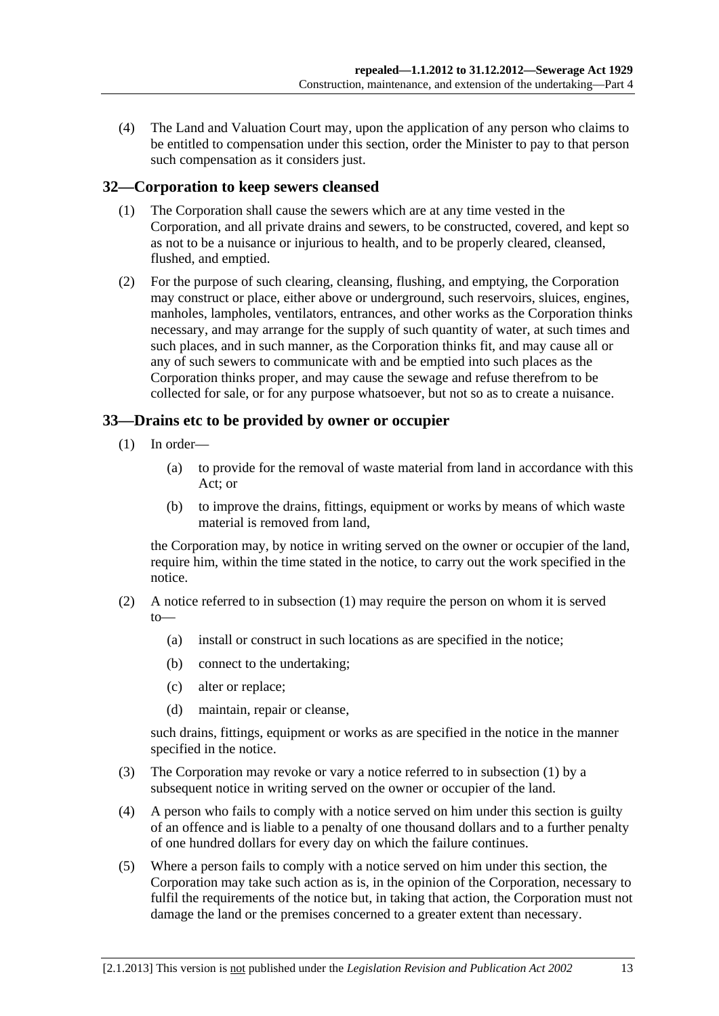<span id="page-12-0"></span> (4) The Land and Valuation Court may, upon the application of any person who claims to be entitled to compensation under this section, order the Minister to pay to that person such compensation as it considers just.

# **32—Corporation to keep sewers cleansed**

- (1) The Corporation shall cause the sewers which are at any time vested in the Corporation, and all private drains and sewers, to be constructed, covered, and kept so as not to be a nuisance or injurious to health, and to be properly cleared, cleansed, flushed, and emptied.
- (2) For the purpose of such clearing, cleansing, flushing, and emptying, the Corporation may construct or place, either above or underground, such reservoirs, sluices, engines, manholes, lampholes, ventilators, entrances, and other works as the Corporation thinks necessary, and may arrange for the supply of such quantity of water, at such times and such places, and in such manner, as the Corporation thinks fit, and may cause all or any of such sewers to communicate with and be emptied into such places as the Corporation thinks proper, and may cause the sewage and refuse therefrom to be collected for sale, or for any purpose whatsoever, but not so as to create a nuisance.

# **33—Drains etc to be provided by owner or occupier**

- (1) In order—
	- (a) to provide for the removal of waste material from land in accordance with this Act; or
	- (b) to improve the drains, fittings, equipment or works by means of which waste material is removed from land,

the Corporation may, by notice in writing served on the owner or occupier of the land, require him, within the time stated in the notice, to carry out the work specified in the notice.

- (2) A notice referred to in [subsection \(1\)](#page-12-0) may require the person on whom it is served to—
	- (a) install or construct in such locations as are specified in the notice;
	- (b) connect to the undertaking;
	- (c) alter or replace;
	- (d) maintain, repair or cleanse,

such drains, fittings, equipment or works as are specified in the notice in the manner specified in the notice.

- (3) The Corporation may revoke or vary a notice referred to in [subsection \(1\)](#page-12-0) by a subsequent notice in writing served on the owner or occupier of the land.
- (4) A person who fails to comply with a notice served on him under this section is guilty of an offence and is liable to a penalty of one thousand dollars and to a further penalty of one hundred dollars for every day on which the failure continues.
- (5) Where a person fails to comply with a notice served on him under this section, the Corporation may take such action as is, in the opinion of the Corporation, necessary to fulfil the requirements of the notice but, in taking that action, the Corporation must not damage the land or the premises concerned to a greater extent than necessary.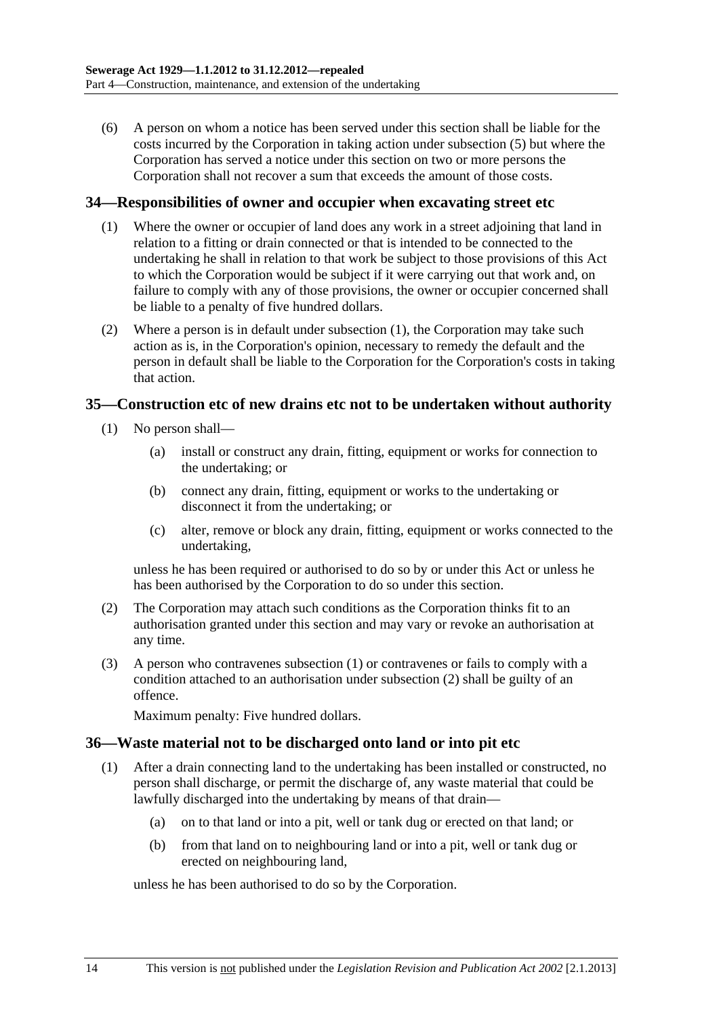<span id="page-13-0"></span> (6) A person on whom a notice has been served under this section shall be liable for the costs incurred by the Corporation in taking action under [subsection \(5\)](#page-12-0) but where the Corporation has served a notice under this section on two or more persons the Corporation shall not recover a sum that exceeds the amount of those costs.

### **34—Responsibilities of owner and occupier when excavating street etc**

- (1) Where the owner or occupier of land does any work in a street adjoining that land in relation to a fitting or drain connected or that is intended to be connected to the undertaking he shall in relation to that work be subject to those provisions of this Act to which the Corporation would be subject if it were carrying out that work and, on failure to comply with any of those provisions, the owner or occupier concerned shall be liable to a penalty of five hundred dollars.
- (2) Where a person is in default under [subsection \(1\),](#page-13-0) the Corporation may take such action as is, in the Corporation's opinion, necessary to remedy the default and the person in default shall be liable to the Corporation for the Corporation's costs in taking that action.

#### **35—Construction etc of new drains etc not to be undertaken without authority**

- (1) No person shall—
	- (a) install or construct any drain, fitting, equipment or works for connection to the undertaking; or
	- (b) connect any drain, fitting, equipment or works to the undertaking or disconnect it from the undertaking; or
	- (c) alter, remove or block any drain, fitting, equipment or works connected to the undertaking,

unless he has been required or authorised to do so by or under this Act or unless he has been authorised by the Corporation to do so under this section.

- (2) The Corporation may attach such conditions as the Corporation thinks fit to an authorisation granted under this section and may vary or revoke an authorisation at any time.
- (3) A person who contravenes [subsection \(1\)](#page-13-0) or contravenes or fails to comply with a condition attached to an authorisation under [subsection \(2\)](#page-13-0) shall be guilty of an offence.

Maximum penalty: Five hundred dollars.

# **36—Waste material not to be discharged onto land or into pit etc**

- (1) After a drain connecting land to the undertaking has been installed or constructed, no person shall discharge, or permit the discharge of, any waste material that could be lawfully discharged into the undertaking by means of that drain—
	- (a) on to that land or into a pit, well or tank dug or erected on that land; or
	- (b) from that land on to neighbouring land or into a pit, well or tank dug or erected on neighbouring land,

unless he has been authorised to do so by the Corporation.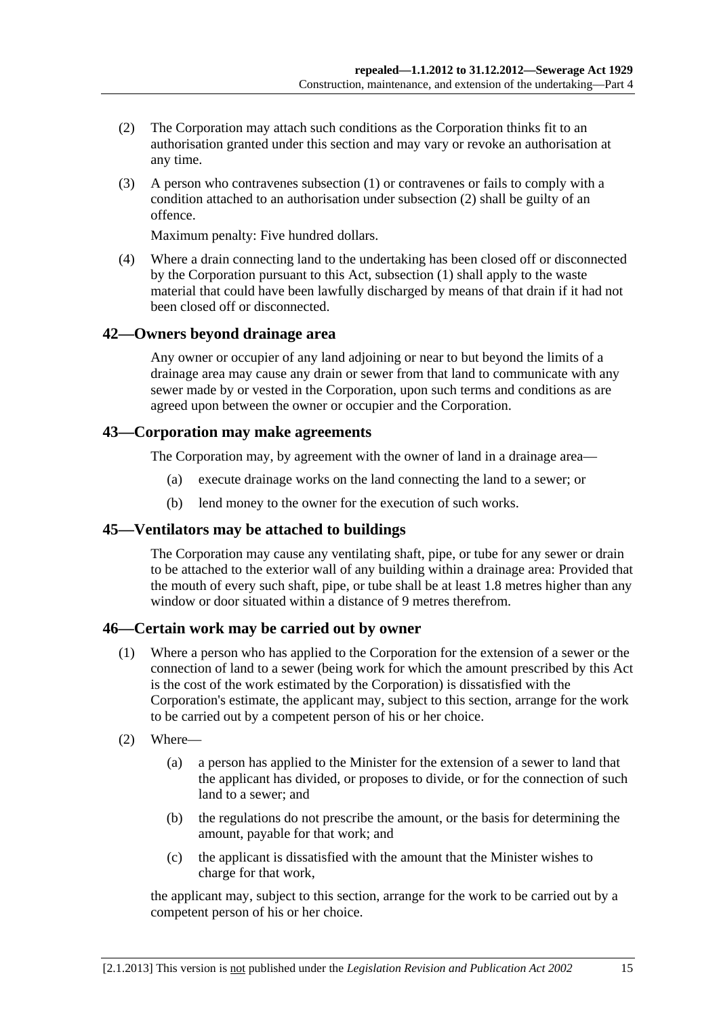- <span id="page-14-0"></span> (2) The Corporation may attach such conditions as the Corporation thinks fit to an authorisation granted under this section and may vary or revoke an authorisation at any time.
- (3) A person who contravenes [subsection \(1\)](#page-13-0) or contravenes or fails to comply with a condition attached to an authorisation under [subsection \(2\)](#page-14-0) shall be guilty of an offence.

Maximum penalty: Five hundred dollars.

 (4) Where a drain connecting land to the undertaking has been closed off or disconnected by the Corporation pursuant to this Act, [subsection \(1\)](#page-13-0) shall apply to the waste material that could have been lawfully discharged by means of that drain if it had not been closed off or disconnected.

# **42—Owners beyond drainage area**

Any owner or occupier of any land adjoining or near to but beyond the limits of a drainage area may cause any drain or sewer from that land to communicate with any sewer made by or vested in the Corporation, upon such terms and conditions as are agreed upon between the owner or occupier and the Corporation.

#### **43—Corporation may make agreements**

The Corporation may, by agreement with the owner of land in a drainage area—

- (a) execute drainage works on the land connecting the land to a sewer; or
- (b) lend money to the owner for the execution of such works.

# **45—Ventilators may be attached to buildings**

The Corporation may cause any ventilating shaft, pipe, or tube for any sewer or drain to be attached to the exterior wall of any building within a drainage area: Provided that the mouth of every such shaft, pipe, or tube shall be at least 1.8 metres higher than any window or door situated within a distance of 9 metres therefrom.

# **46—Certain work may be carried out by owner**

- (1) Where a person who has applied to the Corporation for the extension of a sewer or the connection of land to a sewer (being work for which the amount prescribed by this Act is the cost of the work estimated by the Corporation) is dissatisfied with the Corporation's estimate, the applicant may, subject to this section, arrange for the work to be carried out by a competent person of his or her choice.
- (2) Where—
	- (a) a person has applied to the Minister for the extension of a sewer to land that the applicant has divided, or proposes to divide, or for the connection of such land to a sewer; and
	- (b) the regulations do not prescribe the amount, or the basis for determining the amount, payable for that work; and
	- (c) the applicant is dissatisfied with the amount that the Minister wishes to charge for that work,

the applicant may, subject to this section, arrange for the work to be carried out by a competent person of his or her choice.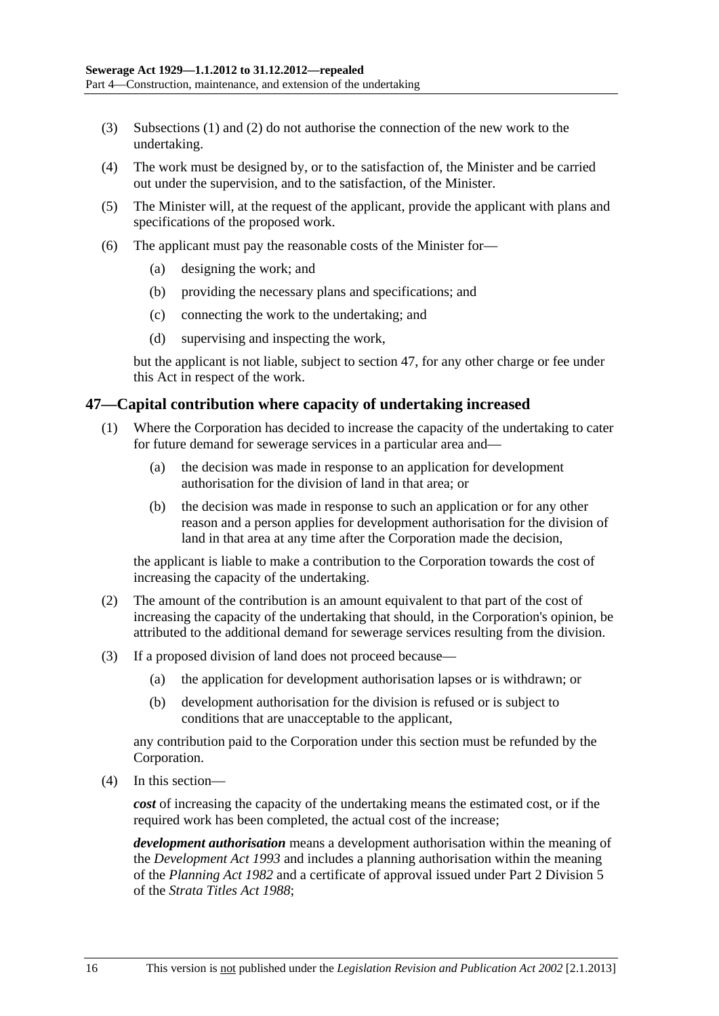- <span id="page-15-0"></span> (3) [Subsections \(1\)](#page-14-0) and [\(2\)](#page-14-0) do not authorise the connection of the new work to the undertaking.
- (4) The work must be designed by, or to the satisfaction of, the Minister and be carried out under the supervision, and to the satisfaction, of the Minister.
- (5) The Minister will, at the request of the applicant, provide the applicant with plans and specifications of the proposed work.
- (6) The applicant must pay the reasonable costs of the Minister for—
	- (a) designing the work; and
	- (b) providing the necessary plans and specifications; and
	- (c) connecting the work to the undertaking; and
	- (d) supervising and inspecting the work,

but the applicant is not liable, subject to [section 47,](#page-15-0) for any other charge or fee under this Act in respect of the work.

#### **47—Capital contribution where capacity of undertaking increased**

- (1) Where the Corporation has decided to increase the capacity of the undertaking to cater for future demand for sewerage services in a particular area and—
	- (a) the decision was made in response to an application for development authorisation for the division of land in that area; or
	- (b) the decision was made in response to such an application or for any other reason and a person applies for development authorisation for the division of land in that area at any time after the Corporation made the decision,

the applicant is liable to make a contribution to the Corporation towards the cost of increasing the capacity of the undertaking.

- (2) The amount of the contribution is an amount equivalent to that part of the cost of increasing the capacity of the undertaking that should, in the Corporation's opinion, be attributed to the additional demand for sewerage services resulting from the division.
- (3) If a proposed division of land does not proceed because—
	- (a) the application for development authorisation lapses or is withdrawn; or
	- (b) development authorisation for the division is refused or is subject to conditions that are unacceptable to the applicant,

any contribution paid to the Corporation under this section must be refunded by the Corporation.

(4) In this section—

*cost* of increasing the capacity of the undertaking means the estimated cost, or if the required work has been completed, the actual cost of the increase;

*development authorisation* means a development authorisation within the meaning of the *[Development Act 1993](http://www.legislation.sa.gov.au/index.aspx?action=legref&type=act&legtitle=Development%20Act%201993)* and includes a planning authorisation within the meaning of the *[Planning Act 1982](http://www.legislation.sa.gov.au/index.aspx?action=legref&type=act&legtitle=Planning%20Act%201982)* and a certificate of approval issued under Part 2 Division 5 of the *[Strata Titles Act 1988](http://www.legislation.sa.gov.au/index.aspx?action=legref&type=act&legtitle=Strata%20Titles%20Act%201988)*;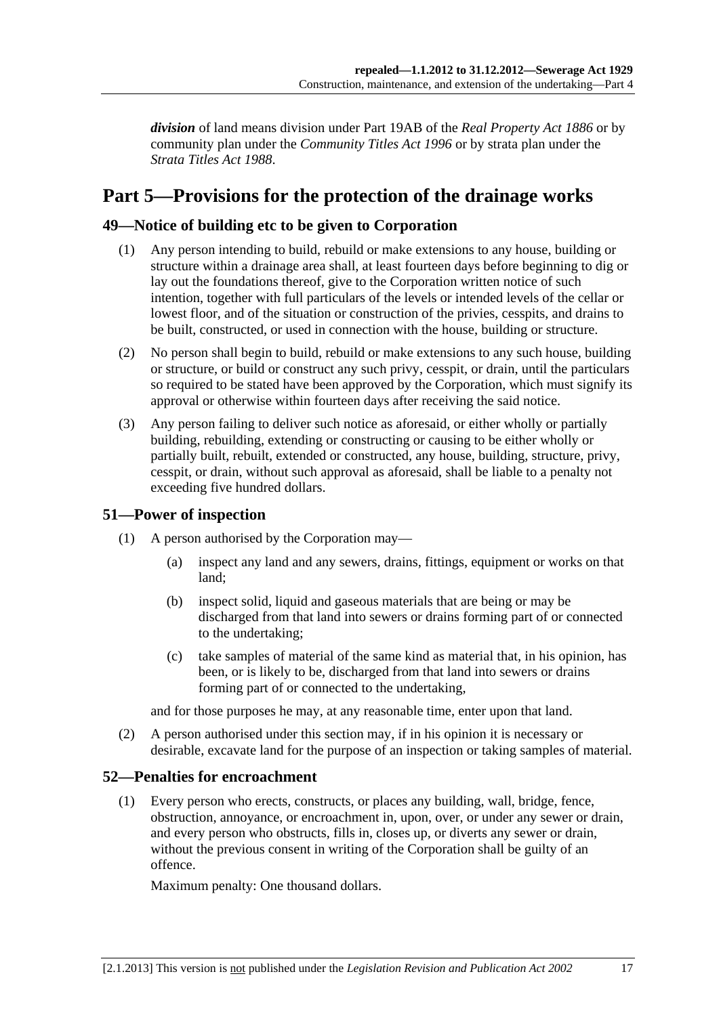<span id="page-16-0"></span>*division* of land means division under Part 19AB of the *[Real Property Act 1886](http://www.legislation.sa.gov.au/index.aspx?action=legref&type=act&legtitle=Real%20Property%20Act%201886)* or by community plan under the *[Community Titles Act 1996](http://www.legislation.sa.gov.au/index.aspx?action=legref&type=act&legtitle=Community%20Titles%20Act%201996)* or by strata plan under the *[Strata Titles Act 1988](http://www.legislation.sa.gov.au/index.aspx?action=legref&type=act&legtitle=Strata%20Titles%20Act%201988)*.

# **Part 5—Provisions for the protection of the drainage works**

# **49—Notice of building etc to be given to Corporation**

- (1) Any person intending to build, rebuild or make extensions to any house, building or structure within a drainage area shall, at least fourteen days before beginning to dig or lay out the foundations thereof, give to the Corporation written notice of such intention, together with full particulars of the levels or intended levels of the cellar or lowest floor, and of the situation or construction of the privies, cesspits, and drains to be built, constructed, or used in connection with the house, building or structure.
- (2) No person shall begin to build, rebuild or make extensions to any such house, building or structure, or build or construct any such privy, cesspit, or drain, until the particulars so required to be stated have been approved by the Corporation, which must signify its approval or otherwise within fourteen days after receiving the said notice.
- (3) Any person failing to deliver such notice as aforesaid, or either wholly or partially building, rebuilding, extending or constructing or causing to be either wholly or partially built, rebuilt, extended or constructed, any house, building, structure, privy, cesspit, or drain, without such approval as aforesaid, shall be liable to a penalty not exceeding five hundred dollars.

# **51—Power of inspection**

- (1) A person authorised by the Corporation may—
	- (a) inspect any land and any sewers, drains, fittings, equipment or works on that land;
	- (b) inspect solid, liquid and gaseous materials that are being or may be discharged from that land into sewers or drains forming part of or connected to the undertaking;
	- (c) take samples of material of the same kind as material that, in his opinion, has been, or is likely to be, discharged from that land into sewers or drains forming part of or connected to the undertaking,

and for those purposes he may, at any reasonable time, enter upon that land.

 (2) A person authorised under this section may, if in his opinion it is necessary or desirable, excavate land for the purpose of an inspection or taking samples of material.

# **52—Penalties for encroachment**

 (1) Every person who erects, constructs, or places any building, wall, bridge, fence, obstruction, annoyance, or encroachment in, upon, over, or under any sewer or drain, and every person who obstructs, fills in, closes up, or diverts any sewer or drain, without the previous consent in writing of the Corporation shall be guilty of an offence.

Maximum penalty: One thousand dollars.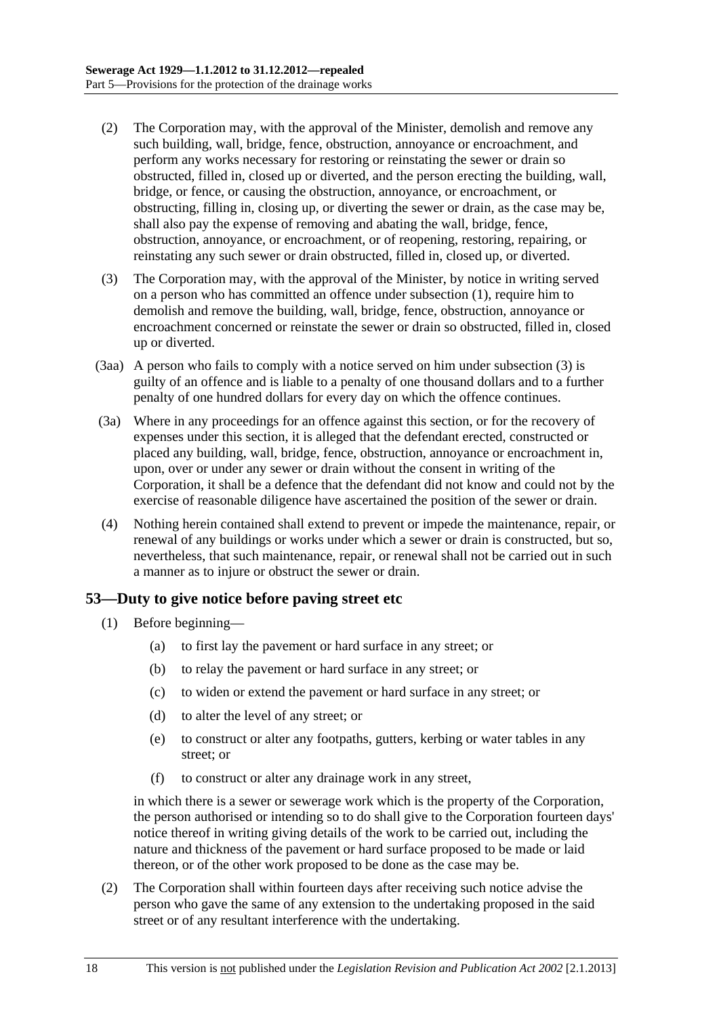- <span id="page-17-0"></span> (2) The Corporation may, with the approval of the Minister, demolish and remove any such building, wall, bridge, fence, obstruction, annoyance or encroachment, and perform any works necessary for restoring or reinstating the sewer or drain so obstructed, filled in, closed up or diverted, and the person erecting the building, wall, bridge, or fence, or causing the obstruction, annoyance, or encroachment, or obstructing, filling in, closing up, or diverting the sewer or drain, as the case may be, shall also pay the expense of removing and abating the wall, bridge, fence, obstruction, annoyance, or encroachment, or of reopening, restoring, repairing, or reinstating any such sewer or drain obstructed, filled in, closed up, or diverted.
- (3) The Corporation may, with the approval of the Minister, by notice in writing served on a person who has committed an offence under [subsection \(1\)](#page-16-0), require him to demolish and remove the building, wall, bridge, fence, obstruction, annoyance or encroachment concerned or reinstate the sewer or drain so obstructed, filled in, closed up or diverted.
- (3aa) A person who fails to comply with a notice served on him under [subsection \(3\)](#page-17-0) is guilty of an offence and is liable to a penalty of one thousand dollars and to a further penalty of one hundred dollars for every day on which the offence continues.
- (3a) Where in any proceedings for an offence against this section, or for the recovery of expenses under this section, it is alleged that the defendant erected, constructed or placed any building, wall, bridge, fence, obstruction, annoyance or encroachment in, upon, over or under any sewer or drain without the consent in writing of the Corporation, it shall be a defence that the defendant did not know and could not by the exercise of reasonable diligence have ascertained the position of the sewer or drain.
- (4) Nothing herein contained shall extend to prevent or impede the maintenance, repair, or renewal of any buildings or works under which a sewer or drain is constructed, but so, nevertheless, that such maintenance, repair, or renewal shall not be carried out in such a manner as to injure or obstruct the sewer or drain.

# **53—Duty to give notice before paving street etc**

- (1) Before beginning—
	- (a) to first lay the pavement or hard surface in any street; or
	- (b) to relay the pavement or hard surface in any street; or
	- (c) to widen or extend the pavement or hard surface in any street; or
	- (d) to alter the level of any street; or
	- (e) to construct or alter any footpaths, gutters, kerbing or water tables in any street; or
	- (f) to construct or alter any drainage work in any street,

in which there is a sewer or sewerage work which is the property of the Corporation, the person authorised or intending so to do shall give to the Corporation fourteen days' notice thereof in writing giving details of the work to be carried out, including the nature and thickness of the pavement or hard surface proposed to be made or laid thereon, or of the other work proposed to be done as the case may be.

 (2) The Corporation shall within fourteen days after receiving such notice advise the person who gave the same of any extension to the undertaking proposed in the said street or of any resultant interference with the undertaking.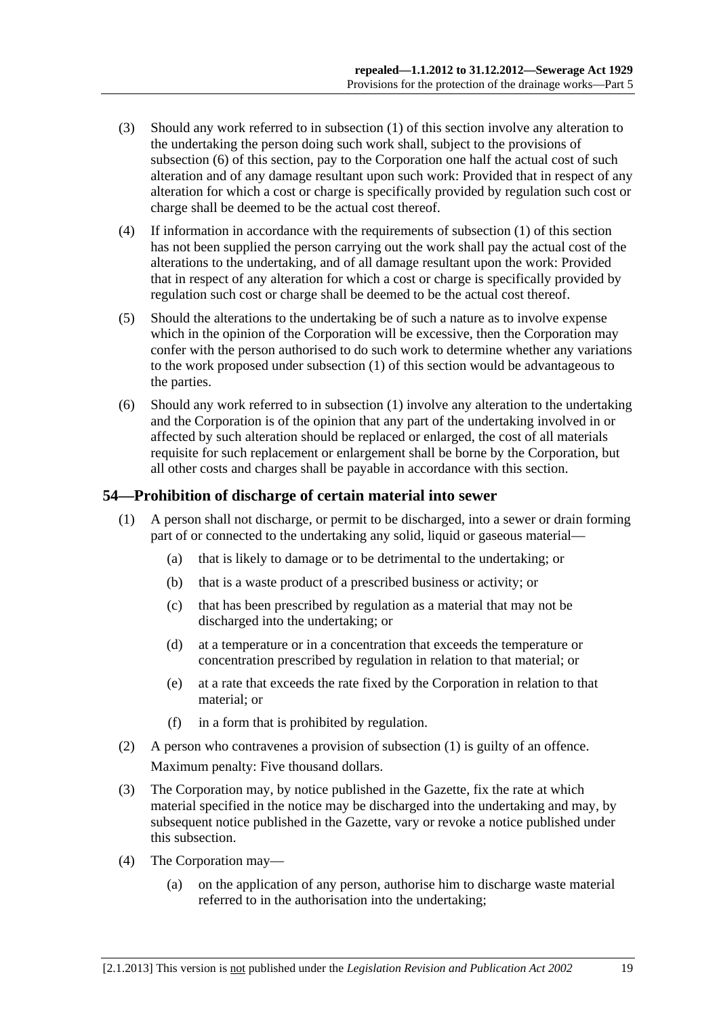- <span id="page-18-0"></span> (3) Should any work referred to in [subsection \(1\)](#page-17-0) of this section involve any alteration to the undertaking the person doing such work shall, subject to the provisions of [subsection \(6\)](#page-18-0) of this section, pay to the Corporation one half the actual cost of such alteration and of any damage resultant upon such work: Provided that in respect of any alteration for which a cost or charge is specifically provided by regulation such cost or charge shall be deemed to be the actual cost thereof.
- (4) If information in accordance with the requirements of [subsection \(1\)](#page-17-0) of this section has not been supplied the person carrying out the work shall pay the actual cost of the alterations to the undertaking, and of all damage resultant upon the work: Provided that in respect of any alteration for which a cost or charge is specifically provided by regulation such cost or charge shall be deemed to be the actual cost thereof.
- (5) Should the alterations to the undertaking be of such a nature as to involve expense which in the opinion of the Corporation will be excessive, then the Corporation may confer with the person authorised to do such work to determine whether any variations to the work proposed under [subsection \(1\)](#page-17-0) of this section would be advantageous to the parties.
- (6) Should any work referred to in [subsection \(1\)](#page-17-0) involve any alteration to the undertaking and the Corporation is of the opinion that any part of the undertaking involved in or affected by such alteration should be replaced or enlarged, the cost of all materials requisite for such replacement or enlargement shall be borne by the Corporation, but all other costs and charges shall be payable in accordance with this section.

# **54—Prohibition of discharge of certain material into sewer**

- (1) A person shall not discharge, or permit to be discharged, into a sewer or drain forming part of or connected to the undertaking any solid, liquid or gaseous material—
	- (a) that is likely to damage or to be detrimental to the undertaking; or
	- (b) that is a waste product of a prescribed business or activity; or
	- (c) that has been prescribed by regulation as a material that may not be discharged into the undertaking; or
	- (d) at a temperature or in a concentration that exceeds the temperature or concentration prescribed by regulation in relation to that material; or
	- (e) at a rate that exceeds the rate fixed by the Corporation in relation to that material; or
	- (f) in a form that is prohibited by regulation.
- (2) A person who contravenes a provision of [subsection \(1\)](#page-18-0) is guilty of an offence. Maximum penalty: Five thousand dollars.
- (3) The Corporation may, by notice published in the Gazette, fix the rate at which material specified in the notice may be discharged into the undertaking and may, by subsequent notice published in the Gazette, vary or revoke a notice published under this subsection.
- (4) The Corporation may—
	- (a) on the application of any person, authorise him to discharge waste material referred to in the authorisation into the undertaking;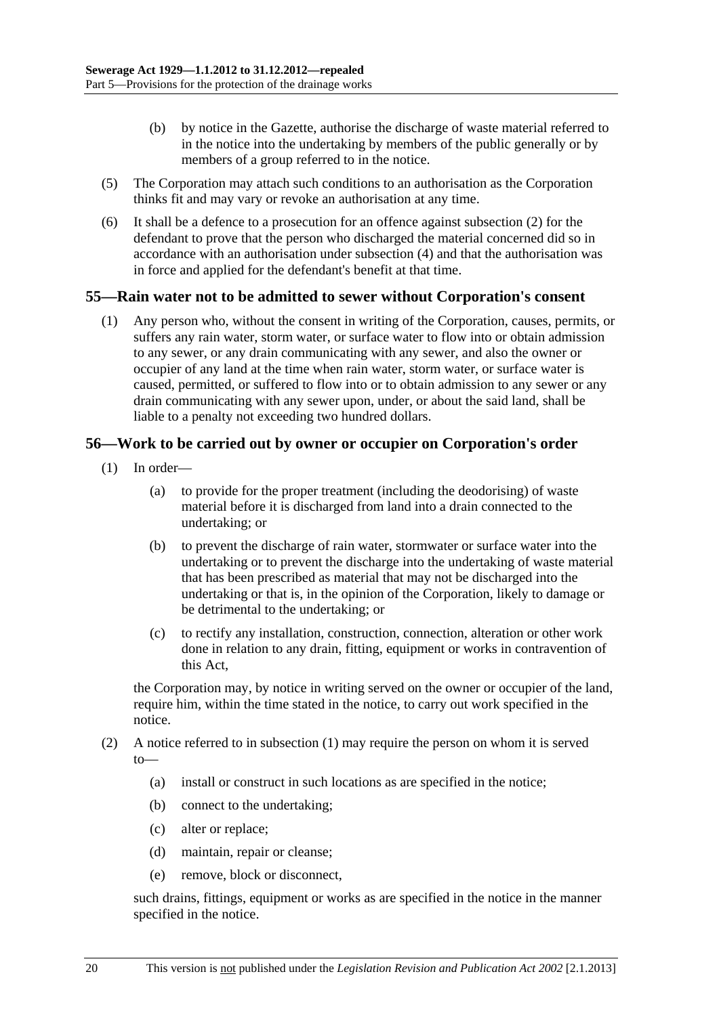- <span id="page-19-0"></span> (b) by notice in the Gazette, authorise the discharge of waste material referred to in the notice into the undertaking by members of the public generally or by members of a group referred to in the notice.
- (5) The Corporation may attach such conditions to an authorisation as the Corporation thinks fit and may vary or revoke an authorisation at any time.
- (6) It shall be a defence to a prosecution for an offence against [subsection \(2\)](#page-18-0) for the defendant to prove that the person who discharged the material concerned did so in accordance with an authorisation under [subsection \(4\)](#page-18-0) and that the authorisation was in force and applied for the defendant's benefit at that time.

#### **55—Rain water not to be admitted to sewer without Corporation's consent**

 (1) Any person who, without the consent in writing of the Corporation, causes, permits, or suffers any rain water, storm water, or surface water to flow into or obtain admission to any sewer, or any drain communicating with any sewer, and also the owner or occupier of any land at the time when rain water, storm water, or surface water is caused, permitted, or suffered to flow into or to obtain admission to any sewer or any drain communicating with any sewer upon, under, or about the said land, shall be liable to a penalty not exceeding two hundred dollars.

#### **56—Work to be carried out by owner or occupier on Corporation's order**

- (1) In order—
	- (a) to provide for the proper treatment (including the deodorising) of waste material before it is discharged from land into a drain connected to the undertaking; or
	- (b) to prevent the discharge of rain water, stormwater or surface water into the undertaking or to prevent the discharge into the undertaking of waste material that has been prescribed as material that may not be discharged into the undertaking or that is, in the opinion of the Corporation, likely to damage or be detrimental to the undertaking; or
	- (c) to rectify any installation, construction, connection, alteration or other work done in relation to any drain, fitting, equipment or works in contravention of this Act,

the Corporation may, by notice in writing served on the owner or occupier of the land, require him, within the time stated in the notice, to carry out work specified in the notice.

- (2) A notice referred to in [subsection \(1\)](#page-19-0) may require the person on whom it is served to—
	- (a) install or construct in such locations as are specified in the notice;
	- (b) connect to the undertaking;
	- (c) alter or replace;
	- (d) maintain, repair or cleanse;
	- (e) remove, block or disconnect,

such drains, fittings, equipment or works as are specified in the notice in the manner specified in the notice.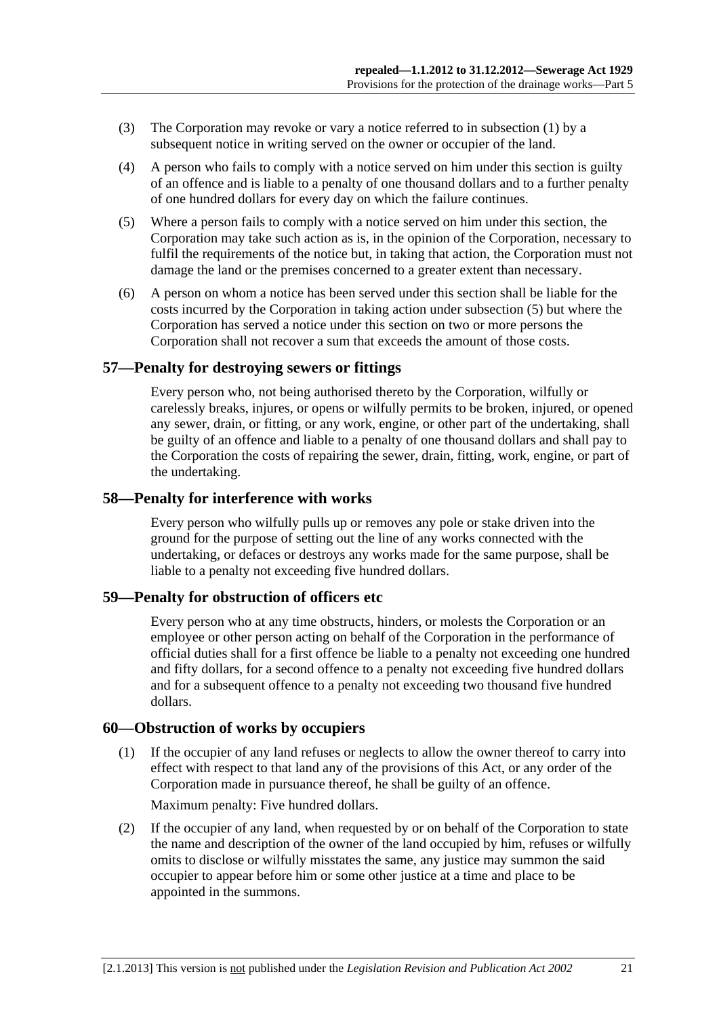- <span id="page-20-0"></span> (3) The Corporation may revoke or vary a notice referred to in [subsection \(1\)](#page-19-0) by a subsequent notice in writing served on the owner or occupier of the land.
- (4) A person who fails to comply with a notice served on him under this section is guilty of an offence and is liable to a penalty of one thousand dollars and to a further penalty of one hundred dollars for every day on which the failure continues.
- (5) Where a person fails to comply with a notice served on him under this section, the Corporation may take such action as is, in the opinion of the Corporation, necessary to fulfil the requirements of the notice but, in taking that action, the Corporation must not damage the land or the premises concerned to a greater extent than necessary.
- (6) A person on whom a notice has been served under this section shall be liable for the costs incurred by the Corporation in taking action under [subsection \(5\)](#page-20-0) but where the Corporation has served a notice under this section on two or more persons the Corporation shall not recover a sum that exceeds the amount of those costs.

#### **57—Penalty for destroying sewers or fittings**

Every person who, not being authorised thereto by the Corporation, wilfully or carelessly breaks, injures, or opens or wilfully permits to be broken, injured, or opened any sewer, drain, or fitting, or any work, engine, or other part of the undertaking, shall be guilty of an offence and liable to a penalty of one thousand dollars and shall pay to the Corporation the costs of repairing the sewer, drain, fitting, work, engine, or part of the undertaking.

#### **58—Penalty for interference with works**

Every person who wilfully pulls up or removes any pole or stake driven into the ground for the purpose of setting out the line of any works connected with the undertaking, or defaces or destroys any works made for the same purpose, shall be liable to a penalty not exceeding five hundred dollars.

#### **59—Penalty for obstruction of officers etc**

Every person who at any time obstructs, hinders, or molests the Corporation or an employee or other person acting on behalf of the Corporation in the performance of official duties shall for a first offence be liable to a penalty not exceeding one hundred and fifty dollars, for a second offence to a penalty not exceeding five hundred dollars and for a subsequent offence to a penalty not exceeding two thousand five hundred dollars.

### **60—Obstruction of works by occupiers**

 (1) If the occupier of any land refuses or neglects to allow the owner thereof to carry into effect with respect to that land any of the provisions of this Act, or any order of the Corporation made in pursuance thereof, he shall be guilty of an offence.

Maximum penalty: Five hundred dollars.

 (2) If the occupier of any land, when requested by or on behalf of the Corporation to state the name and description of the owner of the land occupied by him, refuses or wilfully omits to disclose or wilfully misstates the same, any justice may summon the said occupier to appear before him or some other justice at a time and place to be appointed in the summons.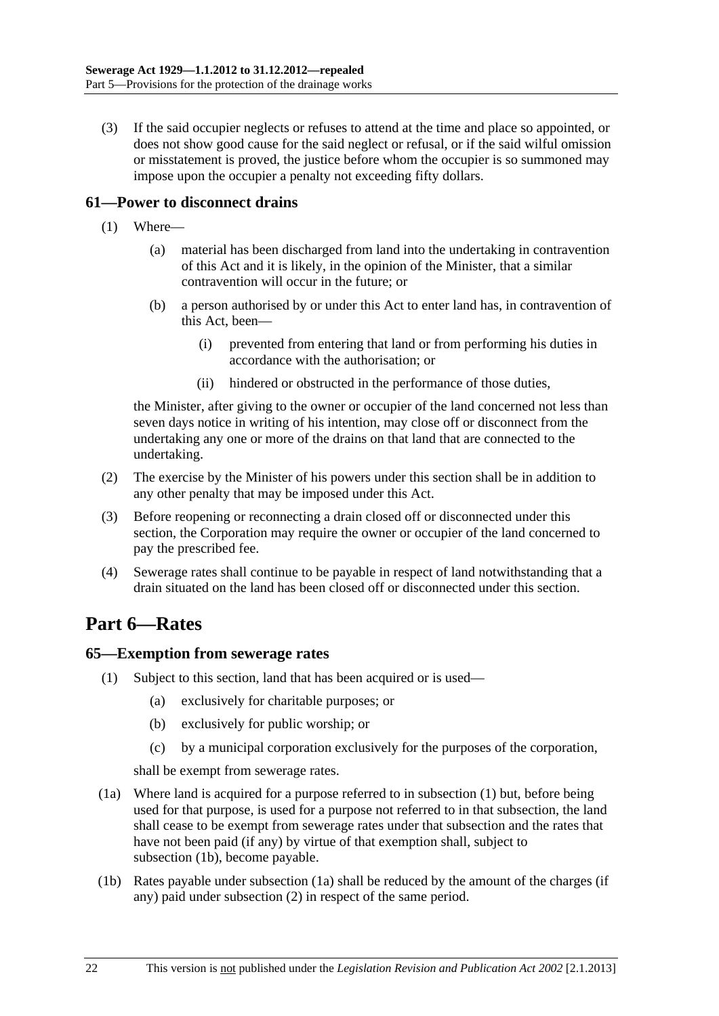<span id="page-21-0"></span> (3) If the said occupier neglects or refuses to attend at the time and place so appointed, or does not show good cause for the said neglect or refusal, or if the said wilful omission or misstatement is proved, the justice before whom the occupier is so summoned may impose upon the occupier a penalty not exceeding fifty dollars.

# **61—Power to disconnect drains**

- (1) Where—
	- (a) material has been discharged from land into the undertaking in contravention of this Act and it is likely, in the opinion of the Minister, that a similar contravention will occur in the future; or
	- (b) a person authorised by or under this Act to enter land has, in contravention of this Act, been—
		- (i) prevented from entering that land or from performing his duties in accordance with the authorisation; or
		- (ii) hindered or obstructed in the performance of those duties,

the Minister, after giving to the owner or occupier of the land concerned not less than seven days notice in writing of his intention, may close off or disconnect from the undertaking any one or more of the drains on that land that are connected to the undertaking.

- (2) The exercise by the Minister of his powers under this section shall be in addition to any other penalty that may be imposed under this Act.
- (3) Before reopening or reconnecting a drain closed off or disconnected under this section, the Corporation may require the owner or occupier of the land concerned to pay the prescribed fee.
- (4) Sewerage rates shall continue to be payable in respect of land notwithstanding that a drain situated on the land has been closed off or disconnected under this section.

# **Part 6—Rates**

# **65—Exemption from sewerage rates**

- (1) Subject to this section, land that has been acquired or is used—
	- (a) exclusively for charitable purposes; or
	- (b) exclusively for public worship; or
	- (c) by a municipal corporation exclusively for the purposes of the corporation,

shall be exempt from sewerage rates.

- (1a) Where land is acquired for a purpose referred to in [subsection \(1\)](#page-21-0) but, before being used for that purpose, is used for a purpose not referred to in that subsection, the land shall cease to be exempt from sewerage rates under that subsection and the rates that have not been paid (if any) by virtue of that exemption shall, subject to [subsection \(1b\)](#page-21-0), become payable.
- (1b) Rates payable under [subsection \(1a\)](#page-21-0) shall be reduced by the amount of the charges (if any) paid under [subsection \(2\)](#page-22-0) in respect of the same period.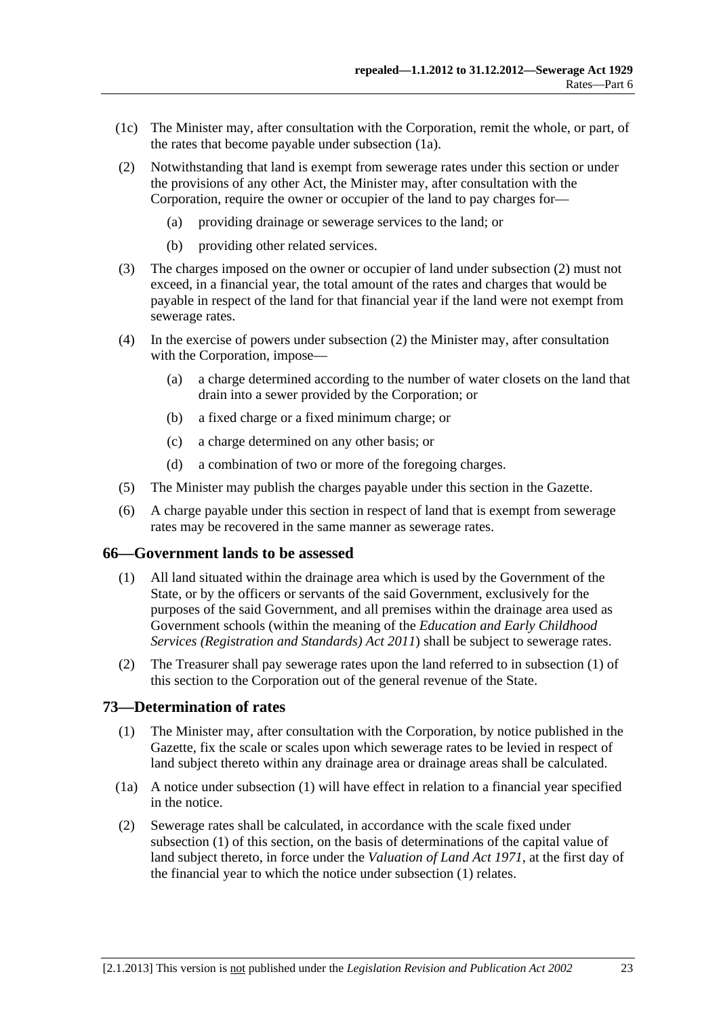- <span id="page-22-0"></span> (1c) The Minister may, after consultation with the Corporation, remit the whole, or part, of the rates that become payable under [subsection \(1a\).](#page-21-0)
- (2) Notwithstanding that land is exempt from sewerage rates under this section or under the provisions of any other Act, the Minister may, after consultation with the Corporation, require the owner or occupier of the land to pay charges for—
	- (a) providing drainage or sewerage services to the land; or
	- (b) providing other related services.
- (3) The charges imposed on the owner or occupier of land under [subsection \(2\)](#page-22-0) must not exceed, in a financial year, the total amount of the rates and charges that would be payable in respect of the land for that financial year if the land were not exempt from sewerage rates.
- (4) In the exercise of powers under [subsection \(2\)](#page-22-0) the Minister may, after consultation with the Corporation, impose—
	- (a) a charge determined according to the number of water closets on the land that drain into a sewer provided by the Corporation; or
	- (b) a fixed charge or a fixed minimum charge; or
	- (c) a charge determined on any other basis; or
	- (d) a combination of two or more of the foregoing charges.
- (5) The Minister may publish the charges payable under this section in the Gazette.
- (6) A charge payable under this section in respect of land that is exempt from sewerage rates may be recovered in the same manner as sewerage rates.

#### **66—Government lands to be assessed**

- (1) All land situated within the drainage area which is used by the Government of the State, or by the officers or servants of the said Government, exclusively for the purposes of the said Government, and all premises within the drainage area used as Government schools (within the meaning of the *[Education and Early Childhood](http://www.legislation.sa.gov.au/index.aspx?action=legref&type=act&legtitle=Education%20and%20Early%20Childhood%20Services%20(Registration%20and%20Standards)%20Act%202011)  [Services \(Registration and Standards\) Act 2011](http://www.legislation.sa.gov.au/index.aspx?action=legref&type=act&legtitle=Education%20and%20Early%20Childhood%20Services%20(Registration%20and%20Standards)%20Act%202011)*) shall be subject to sewerage rates.
- (2) The Treasurer shall pay sewerage rates upon the land referred to in [subsection \(1\)](#page-22-0) of this section to the Corporation out of the general revenue of the State.

#### **73—Determination of rates**

- (1) The Minister may, after consultation with the Corporation, by notice published in the Gazette, fix the scale or scales upon which sewerage rates to be levied in respect of land subject thereto within any drainage area or drainage areas shall be calculated.
- (1a) A notice under [subsection \(1\)](#page-22-0) will have effect in relation to a financial year specified in the notice.
- (2) Sewerage rates shall be calculated, in accordance with the scale fixed under [subsection \(1\)](#page-22-0) of this section, on the basis of determinations of the capital value of land subject thereto, in force under the *[Valuation of Land Act 1971](http://www.legislation.sa.gov.au/index.aspx?action=legref&type=act&legtitle=Valuation%20of%20Land%20Act%201971)*, at the first day of the financial year to which the notice under [subsection \(1\)](#page-22-0) relates.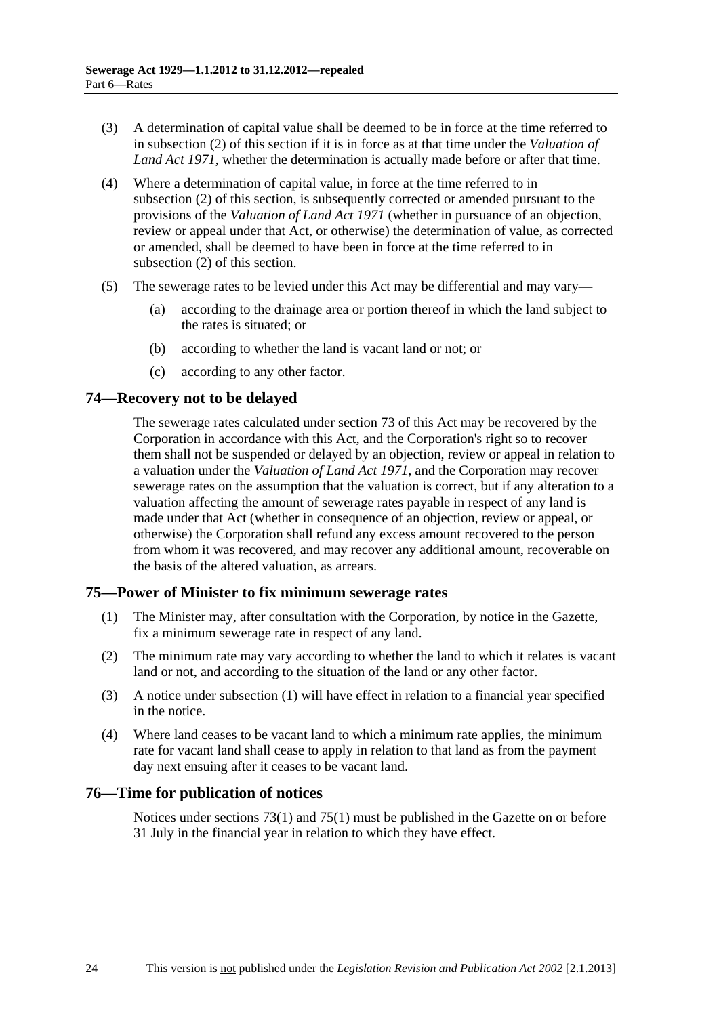- <span id="page-23-0"></span> (3) A determination of capital value shall be deemed to be in force at the time referred to in [subsection \(2\)](#page-22-0) of this section if it is in force as at that time under the *[Valuation of](http://www.legislation.sa.gov.au/index.aspx?action=legref&type=act&legtitle=Valuation%20of%20Land%20Act%201971)  [Land Act 1971](http://www.legislation.sa.gov.au/index.aspx?action=legref&type=act&legtitle=Valuation%20of%20Land%20Act%201971)*, whether the determination is actually made before or after that time.
- (4) Where a determination of capital value, in force at the time referred to in [subsection \(2\)](#page-22-0) of this section, is subsequently corrected or amended pursuant to the provisions of the *[Valuation of Land Act 1971](http://www.legislation.sa.gov.au/index.aspx?action=legref&type=act&legtitle=Valuation%20of%20Land%20Act%201971)* (whether in pursuance of an objection, review or appeal under that Act, or otherwise) the determination of value, as corrected or amended, shall be deemed to have been in force at the time referred to in [subsection \(2\)](#page-22-0) of this section.
- (5) The sewerage rates to be levied under this Act may be differential and may vary—
	- (a) according to the drainage area or portion thereof in which the land subject to the rates is situated; or
	- (b) according to whether the land is vacant land or not; or
	- (c) according to any other factor.

# **74—Recovery not to be delayed**

The sewerage rates calculated under [section 73](#page-22-0) of this Act may be recovered by the Corporation in accordance with this Act, and the Corporation's right so to recover them shall not be suspended or delayed by an objection, review or appeal in relation to a valuation under the *[Valuation of Land Act 1971](http://www.legislation.sa.gov.au/index.aspx?action=legref&type=act&legtitle=Valuation%20of%20Land%20Act%201971)*, and the Corporation may recover sewerage rates on the assumption that the valuation is correct, but if any alteration to a valuation affecting the amount of sewerage rates payable in respect of any land is made under that Act (whether in consequence of an objection, review or appeal, or otherwise) the Corporation shall refund any excess amount recovered to the person from whom it was recovered, and may recover any additional amount, recoverable on the basis of the altered valuation, as arrears.

# **75—Power of Minister to fix minimum sewerage rates**

- (1) The Minister may, after consultation with the Corporation, by notice in the Gazette, fix a minimum sewerage rate in respect of any land.
- (2) The minimum rate may vary according to whether the land to which it relates is vacant land or not, and according to the situation of the land or any other factor.
- (3) A notice under [subsection \(1\)](#page-23-0) will have effect in relation to a financial year specified in the notice.
- (4) Where land ceases to be vacant land to which a minimum rate applies, the minimum rate for vacant land shall cease to apply in relation to that land as from the payment day next ensuing after it ceases to be vacant land.

# **76—Time for publication of notices**

Notices under [sections 73\(1\)](#page-22-0) and [75\(1\)](#page-23-0) must be published in the Gazette on or before 31 July in the financial year in relation to which they have effect.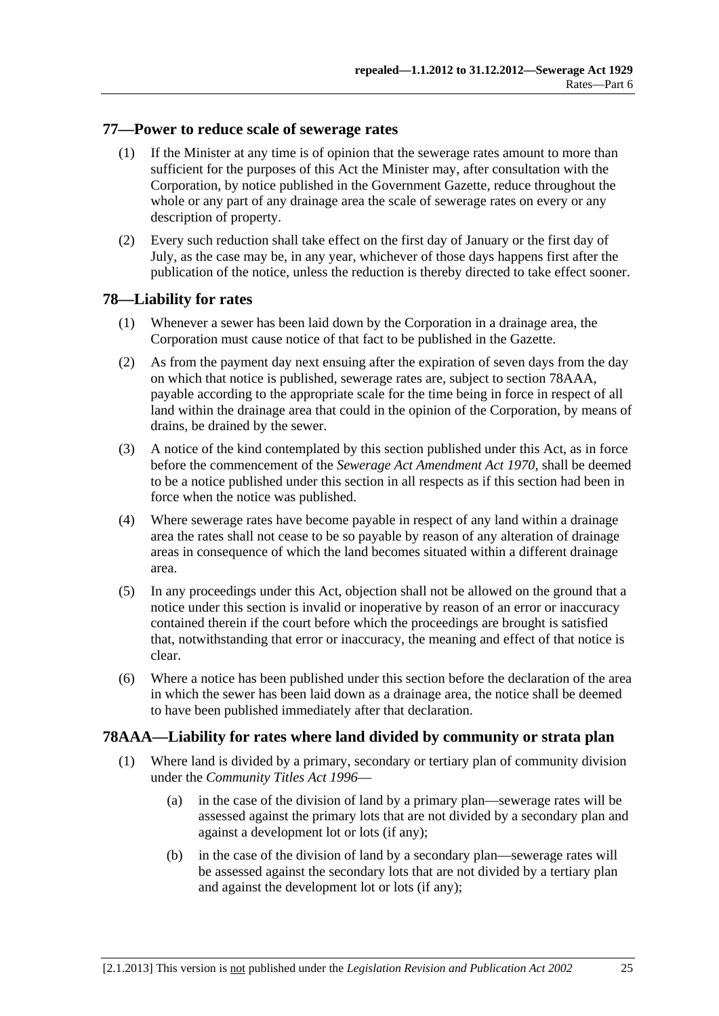#### <span id="page-24-0"></span>**77—Power to reduce scale of sewerage rates**

- (1) If the Minister at any time is of opinion that the sewerage rates amount to more than sufficient for the purposes of this Act the Minister may, after consultation with the Corporation, by notice published in the Government Gazette, reduce throughout the whole or any part of any drainage area the scale of sewerage rates on every or any description of property.
- (2) Every such reduction shall take effect on the first day of January or the first day of July, as the case may be, in any year, whichever of those days happens first after the publication of the notice, unless the reduction is thereby directed to take effect sooner.

# **78—Liability for rates**

- (1) Whenever a sewer has been laid down by the Corporation in a drainage area, the Corporation must cause notice of that fact to be published in the Gazette.
- (2) As from the payment day next ensuing after the expiration of seven days from the day on which that notice is published, sewerage rates are, subject to [section 78AAA,](#page-24-0) payable according to the appropriate scale for the time being in force in respect of all land within the drainage area that could in the opinion of the Corporation, by means of drains, be drained by the sewer.
- (3) A notice of the kind contemplated by this section published under this Act, as in force before the commencement of the *[Sewerage Act Amendment Act 1970](http://www.legislation.sa.gov.au/index.aspx?action=legref&type=act&legtitle=Sewerage%20Act%20Amendment%20Act%201970)*, shall be deemed to be a notice published under this section in all respects as if this section had been in force when the notice was published.
- (4) Where sewerage rates have become payable in respect of any land within a drainage area the rates shall not cease to be so payable by reason of any alteration of drainage areas in consequence of which the land becomes situated within a different drainage area.
- (5) In any proceedings under this Act, objection shall not be allowed on the ground that a notice under this section is invalid or inoperative by reason of an error or inaccuracy contained therein if the court before which the proceedings are brought is satisfied that, notwithstanding that error or inaccuracy, the meaning and effect of that notice is clear.
- (6) Where a notice has been published under this section before the declaration of the area in which the sewer has been laid down as a drainage area, the notice shall be deemed to have been published immediately after that declaration.

# **78AAA—Liability for rates where land divided by community or strata plan**

- (1) Where land is divided by a primary, secondary or tertiary plan of community division under the *[Community Titles Act 1996](http://www.legislation.sa.gov.au/index.aspx?action=legref&type=act&legtitle=Community%20Titles%20Act%201996)*—
	- (a) in the case of the division of land by a primary plan—sewerage rates will be assessed against the primary lots that are not divided by a secondary plan and against a development lot or lots (if any);
	- (b) in the case of the division of land by a secondary plan—sewerage rates will be assessed against the secondary lots that are not divided by a tertiary plan and against the development lot or lots (if any);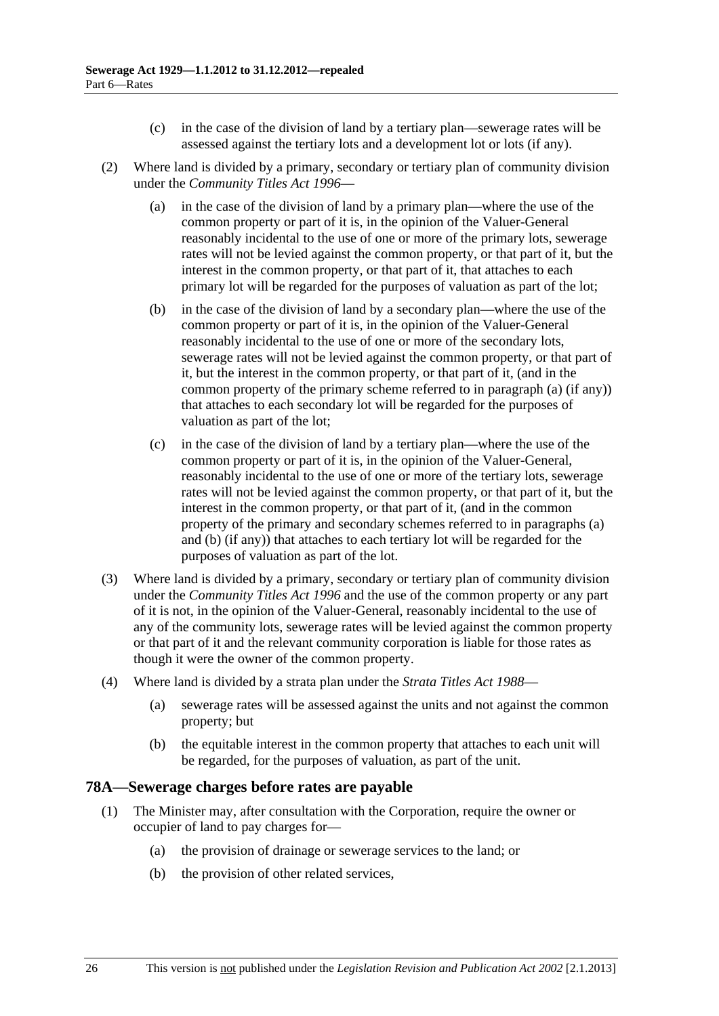- (c) in the case of the division of land by a tertiary plan—sewerage rates will be assessed against the tertiary lots and a development lot or lots (if any).
- <span id="page-25-0"></span> (2) Where land is divided by a primary, secondary or tertiary plan of community division under the *[Community Titles Act 1996](http://www.legislation.sa.gov.au/index.aspx?action=legref&type=act&legtitle=Community%20Titles%20Act%201996)*—
	- (a) in the case of the division of land by a primary plan—where the use of the common property or part of it is, in the opinion of the Valuer-General reasonably incidental to the use of one or more of the primary lots, sewerage rates will not be levied against the common property, or that part of it, but the interest in the common property, or that part of it, that attaches to each primary lot will be regarded for the purposes of valuation as part of the lot;
	- (b) in the case of the division of land by a secondary plan—where the use of the common property or part of it is, in the opinion of the Valuer-General reasonably incidental to the use of one or more of the secondary lots, sewerage rates will not be levied against the common property, or that part of it, but the interest in the common property, or that part of it, (and in the common property of the primary scheme referred to in [paragraph \(a\)](#page-25-0) (if any)) that attaches to each secondary lot will be regarded for the purposes of valuation as part of the lot;
	- (c) in the case of the division of land by a tertiary plan—where the use of the common property or part of it is, in the opinion of the Valuer-General, reasonably incidental to the use of one or more of the tertiary lots, sewerage rates will not be levied against the common property, or that part of it, but the interest in the common property, or that part of it, (and in the common property of the primary and secondary schemes referred to in [paragraphs \(a\)](#page-25-0)  and [\(b\)](#page-25-0) (if any)) that attaches to each tertiary lot will be regarded for the purposes of valuation as part of the lot.
- (3) Where land is divided by a primary, secondary or tertiary plan of community division under the *[Community Titles Act 1996](http://www.legislation.sa.gov.au/index.aspx?action=legref&type=act&legtitle=Community%20Titles%20Act%201996)* and the use of the common property or any part of it is not, in the opinion of the Valuer-General, reasonably incidental to the use of any of the community lots, sewerage rates will be levied against the common property or that part of it and the relevant community corporation is liable for those rates as though it were the owner of the common property.
- (4) Where land is divided by a strata plan under the *[Strata Titles Act 1988](http://www.legislation.sa.gov.au/index.aspx?action=legref&type=act&legtitle=Strata%20Titles%20Act%201988)*
	- (a) sewerage rates will be assessed against the units and not against the common property; but
	- (b) the equitable interest in the common property that attaches to each unit will be regarded, for the purposes of valuation, as part of the unit.

#### **78A—Sewerage charges before rates are payable**

- (1) The Minister may, after consultation with the Corporation, require the owner or occupier of land to pay charges for—
	- (a) the provision of drainage or sewerage services to the land; or
	- (b) the provision of other related services,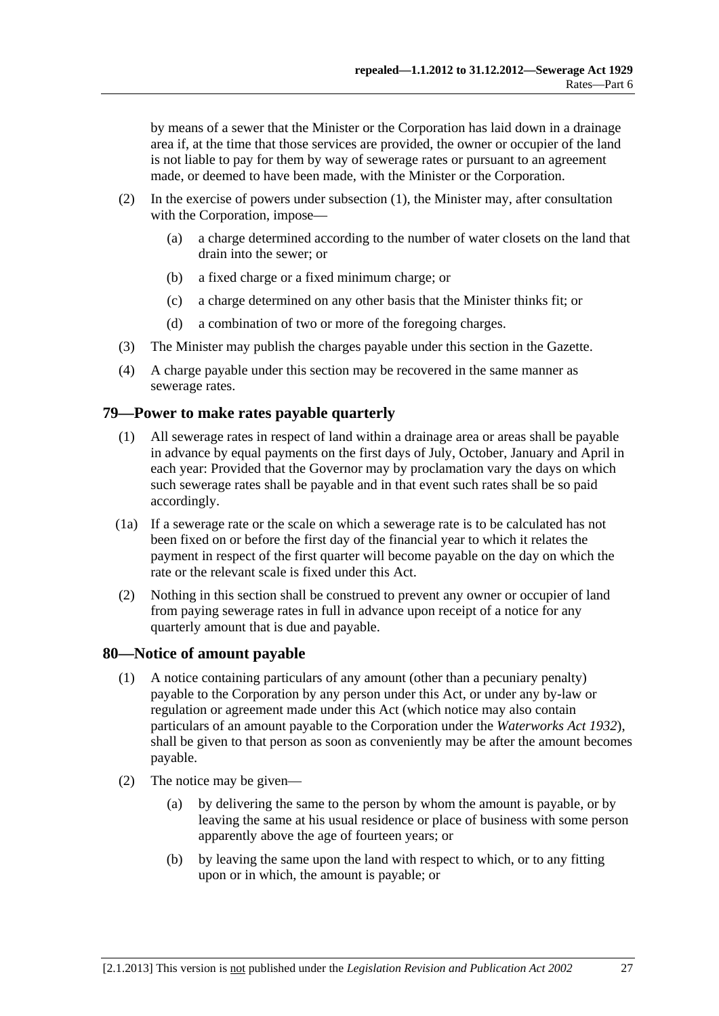<span id="page-26-0"></span>by means of a sewer that the Minister or the Corporation has laid down in a drainage area if, at the time that those services are provided, the owner or occupier of the land is not liable to pay for them by way of sewerage rates or pursuant to an agreement made, or deemed to have been made, with the Minister or the Corporation.

- (2) In the exercise of powers under [subsection \(1\)](#page-25-0), the Minister may, after consultation with the Corporation, impose—
	- (a) a charge determined according to the number of water closets on the land that drain into the sewer; or
	- (b) a fixed charge or a fixed minimum charge; or
	- (c) a charge determined on any other basis that the Minister thinks fit; or
	- (d) a combination of two or more of the foregoing charges.
- (3) The Minister may publish the charges payable under this section in the Gazette.
- (4) A charge payable under this section may be recovered in the same manner as sewerage rates.

#### **79—Power to make rates payable quarterly**

- (1) All sewerage rates in respect of land within a drainage area or areas shall be payable in advance by equal payments on the first days of July, October, January and April in each year: Provided that the Governor may by proclamation vary the days on which such sewerage rates shall be payable and in that event such rates shall be so paid accordingly.
- (1a) If a sewerage rate or the scale on which a sewerage rate is to be calculated has not been fixed on or before the first day of the financial year to which it relates the payment in respect of the first quarter will become payable on the day on which the rate or the relevant scale is fixed under this Act.
- (2) Nothing in this section shall be construed to prevent any owner or occupier of land from paying sewerage rates in full in advance upon receipt of a notice for any quarterly amount that is due and payable.

#### **80—Notice of amount payable**

- (1) A notice containing particulars of any amount (other than a pecuniary penalty) payable to the Corporation by any person under this Act, or under any by-law or regulation or agreement made under this Act (which notice may also contain particulars of an amount payable to the Corporation under the *[Waterworks Act 1932](http://www.legislation.sa.gov.au/index.aspx?action=legref&type=act&legtitle=Waterworks%20Act%201932)*), shall be given to that person as soon as conveniently may be after the amount becomes payable.
- (2) The notice may be given—
	- (a) by delivering the same to the person by whom the amount is payable, or by leaving the same at his usual residence or place of business with some person apparently above the age of fourteen years; or
	- (b) by leaving the same upon the land with respect to which, or to any fitting upon or in which, the amount is payable; or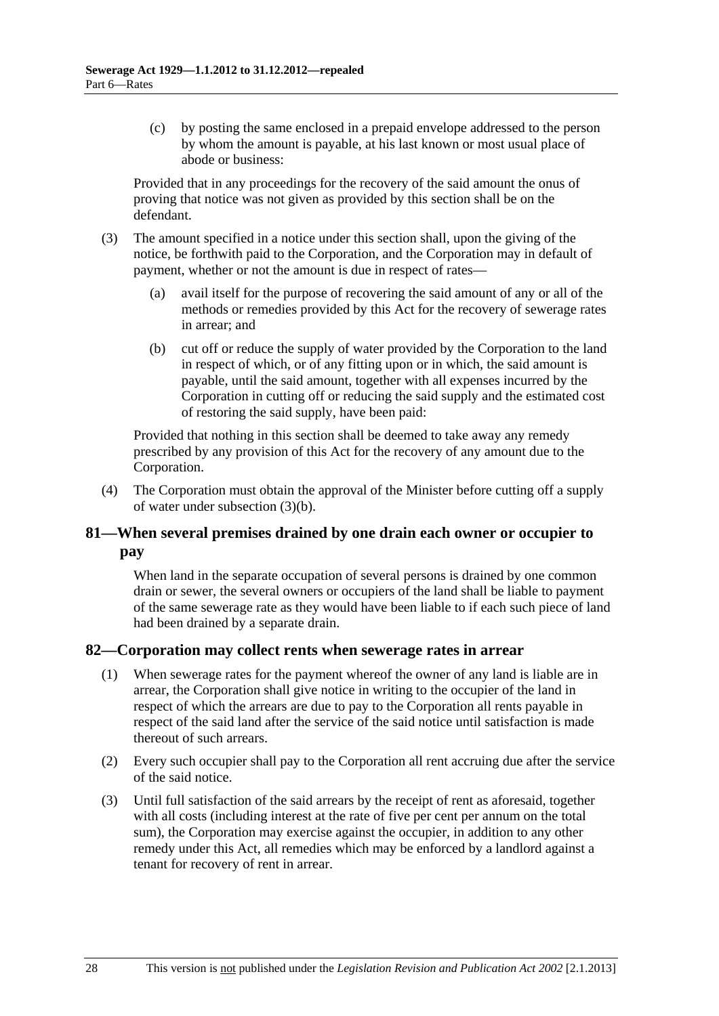<span id="page-27-0"></span> (c) by posting the same enclosed in a prepaid envelope addressed to the person by whom the amount is payable, at his last known or most usual place of abode or business:

Provided that in any proceedings for the recovery of the said amount the onus of proving that notice was not given as provided by this section shall be on the defendant.

- (3) The amount specified in a notice under this section shall, upon the giving of the notice, be forthwith paid to the Corporation, and the Corporation may in default of payment, whether or not the amount is due in respect of rates—
	- (a) avail itself for the purpose of recovering the said amount of any or all of the methods or remedies provided by this Act for the recovery of sewerage rates in arrear; and
	- (b) cut off or reduce the supply of water provided by the Corporation to the land in respect of which, or of any fitting upon or in which, the said amount is payable, until the said amount, together with all expenses incurred by the Corporation in cutting off or reducing the said supply and the estimated cost of restoring the said supply, have been paid:

Provided that nothing in this section shall be deemed to take away any remedy prescribed by any provision of this Act for the recovery of any amount due to the Corporation.

 (4) The Corporation must obtain the approval of the Minister before cutting off a supply of water under [subsection \(3\)\(b\).](#page-27-0)

# **81—When several premises drained by one drain each owner or occupier to pay**

When land in the separate occupation of several persons is drained by one common drain or sewer, the several owners or occupiers of the land shall be liable to payment of the same sewerage rate as they would have been liable to if each such piece of land had been drained by a separate drain.

# **82—Corporation may collect rents when sewerage rates in arrear**

- (1) When sewerage rates for the payment whereof the owner of any land is liable are in arrear, the Corporation shall give notice in writing to the occupier of the land in respect of which the arrears are due to pay to the Corporation all rents payable in respect of the said land after the service of the said notice until satisfaction is made thereout of such arrears.
- (2) Every such occupier shall pay to the Corporation all rent accruing due after the service of the said notice.
- (3) Until full satisfaction of the said arrears by the receipt of rent as aforesaid, together with all costs (including interest at the rate of five per cent per annum on the total sum), the Corporation may exercise against the occupier, in addition to any other remedy under this Act, all remedies which may be enforced by a landlord against a tenant for recovery of rent in arrear.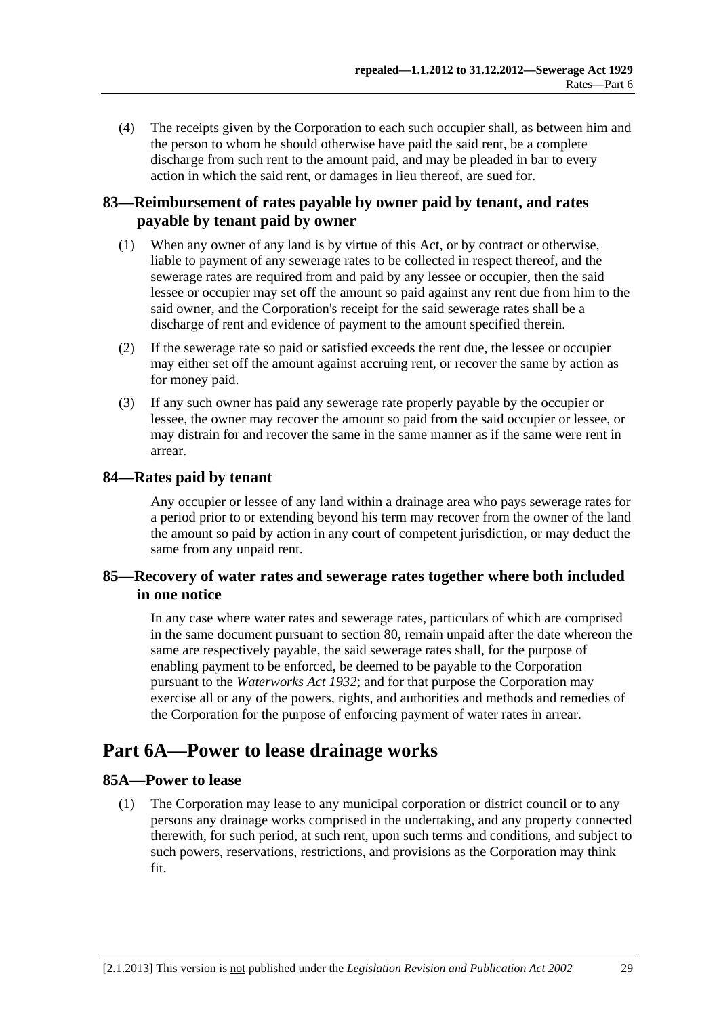<span id="page-28-0"></span> (4) The receipts given by the Corporation to each such occupier shall, as between him and the person to whom he should otherwise have paid the said rent, be a complete discharge from such rent to the amount paid, and may be pleaded in bar to every action in which the said rent, or damages in lieu thereof, are sued for.

# **83—Reimbursement of rates payable by owner paid by tenant, and rates payable by tenant paid by owner**

- (1) When any owner of any land is by virtue of this Act, or by contract or otherwise, liable to payment of any sewerage rates to be collected in respect thereof, and the sewerage rates are required from and paid by any lessee or occupier, then the said lessee or occupier may set off the amount so paid against any rent due from him to the said owner, and the Corporation's receipt for the said sewerage rates shall be a discharge of rent and evidence of payment to the amount specified therein.
- (2) If the sewerage rate so paid or satisfied exceeds the rent due, the lessee or occupier may either set off the amount against accruing rent, or recover the same by action as for money paid.
- (3) If any such owner has paid any sewerage rate properly payable by the occupier or lessee, the owner may recover the amount so paid from the said occupier or lessee, or may distrain for and recover the same in the same manner as if the same were rent in arrear.

# **84—Rates paid by tenant**

Any occupier or lessee of any land within a drainage area who pays sewerage rates for a period prior to or extending beyond his term may recover from the owner of the land the amount so paid by action in any court of competent jurisdiction, or may deduct the same from any unpaid rent.

# **85—Recovery of water rates and sewerage rates together where both included in one notice**

In any case where water rates and sewerage rates, particulars of which are comprised in the same document pursuant to [section 80,](#page-26-0) remain unpaid after the date whereon the same are respectively payable, the said sewerage rates shall, for the purpose of enabling payment to be enforced, be deemed to be payable to the Corporation pursuant to the *[Waterworks Act 1932](http://www.legislation.sa.gov.au/index.aspx?action=legref&type=act&legtitle=Waterworks%20Act%201932)*; and for that purpose the Corporation may exercise all or any of the powers, rights, and authorities and methods and remedies of the Corporation for the purpose of enforcing payment of water rates in arrear.

# **Part 6A—Power to lease drainage works**

# **85A—Power to lease**

 (1) The Corporation may lease to any municipal corporation or district council or to any persons any drainage works comprised in the undertaking, and any property connected therewith, for such period, at such rent, upon such terms and conditions, and subject to such powers, reservations, restrictions, and provisions as the Corporation may think fit.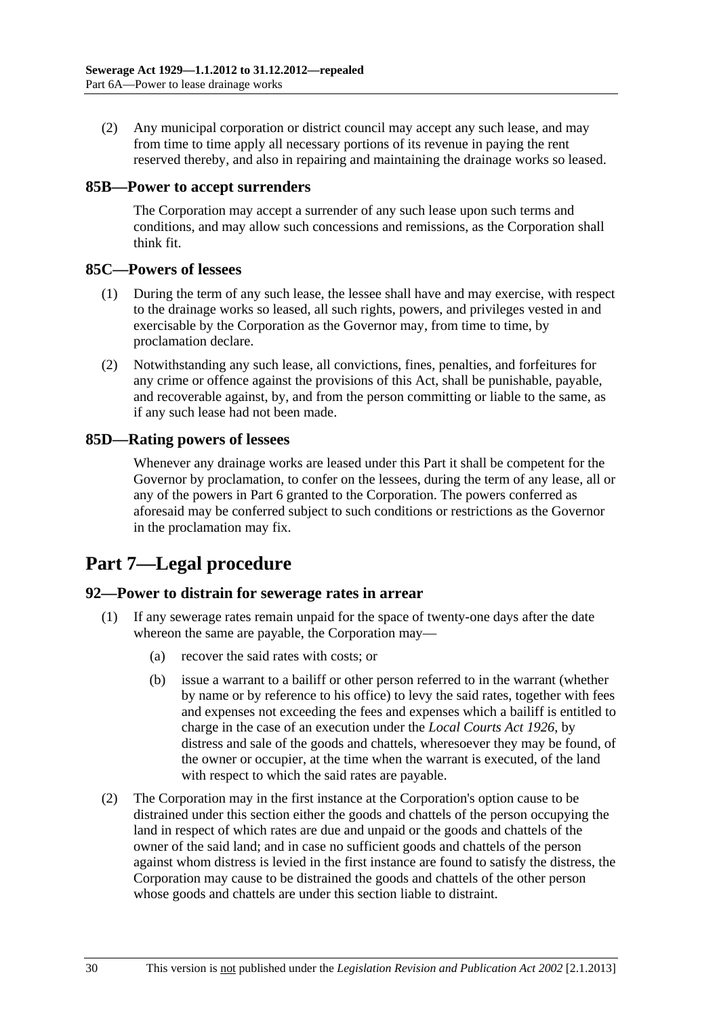<span id="page-29-0"></span> (2) Any municipal corporation or district council may accept any such lease, and may from time to time apply all necessary portions of its revenue in paying the rent reserved thereby, and also in repairing and maintaining the drainage works so leased.

#### **85B—Power to accept surrenders**

The Corporation may accept a surrender of any such lease upon such terms and conditions, and may allow such concessions and remissions, as the Corporation shall think fit.

#### **85C—Powers of lessees**

- (1) During the term of any such lease, the lessee shall have and may exercise, with respect to the drainage works so leased, all such rights, powers, and privileges vested in and exercisable by the Corporation as the Governor may, from time to time, by proclamation declare.
- (2) Notwithstanding any such lease, all convictions, fines, penalties, and forfeitures for any crime or offence against the provisions of this Act, shall be punishable, payable, and recoverable against, by, and from the person committing or liable to the same, as if any such lease had not been made.

# **85D—Rating powers of lessees**

Whenever any drainage works are leased under this Part it shall be competent for the Governor by proclamation, to confer on the lessees, during the term of any lease, all or any of the powers in [Part 6](#page-21-0) granted to the Corporation. The powers conferred as aforesaid may be conferred subject to such conditions or restrictions as the Governor in the proclamation may fix.

# **Part 7—Legal procedure**

#### **92—Power to distrain for sewerage rates in arrear**

- (1) If any sewerage rates remain unpaid for the space of twenty-one days after the date whereon the same are payable, the Corporation may—
	- (a) recover the said rates with costs; or
	- (b) issue a warrant to a bailiff or other person referred to in the warrant (whether by name or by reference to his office) to levy the said rates, together with fees and expenses not exceeding the fees and expenses which a bailiff is entitled to charge in the case of an execution under the *[Local Courts Act 1926](http://www.legislation.sa.gov.au/index.aspx?action=legref&type=act&legtitle=Local%20Courts%20Act%201926)*, by distress and sale of the goods and chattels, wheresoever they may be found, of the owner or occupier, at the time when the warrant is executed, of the land with respect to which the said rates are payable.
- (2) The Corporation may in the first instance at the Corporation's option cause to be distrained under this section either the goods and chattels of the person occupying the land in respect of which rates are due and unpaid or the goods and chattels of the owner of the said land; and in case no sufficient goods and chattels of the person against whom distress is levied in the first instance are found to satisfy the distress, the Corporation may cause to be distrained the goods and chattels of the other person whose goods and chattels are under this section liable to distraint.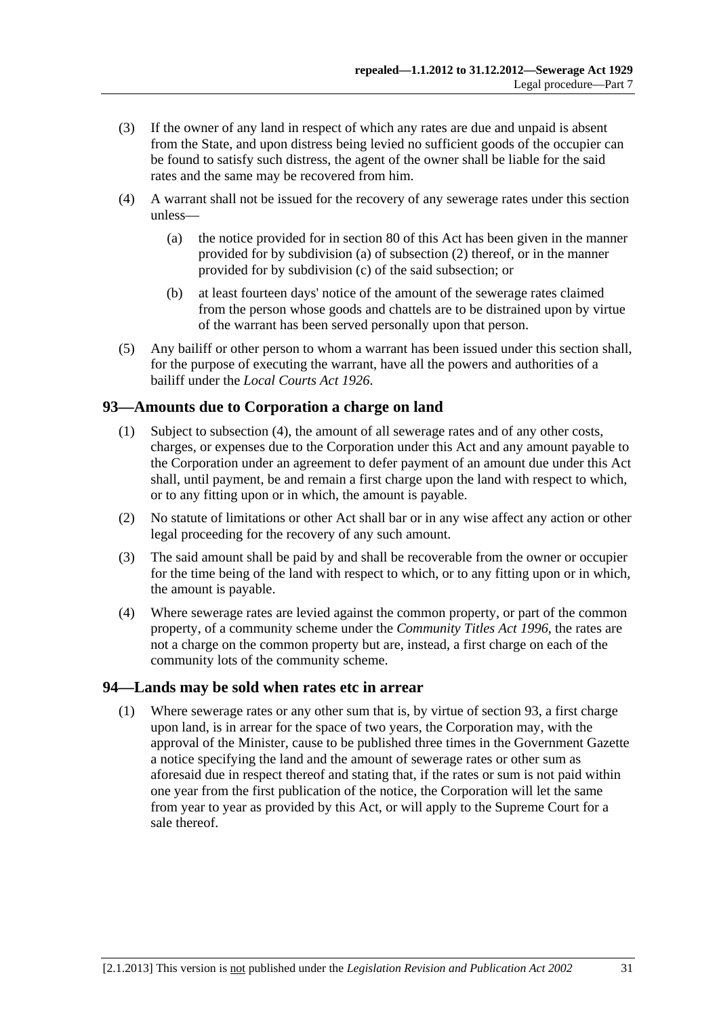- <span id="page-30-0"></span> (3) If the owner of any land in respect of which any rates are due and unpaid is absent from the State, and upon distress being levied no sufficient goods of the occupier can be found to satisfy such distress, the agent of the owner shall be liable for the said rates and the same may be recovered from him.
- (4) A warrant shall not be issued for the recovery of any sewerage rates under this section unless—
	- (a) the notice provided for in [section 80](#page-26-0) of this Act has been given in the manner provided for by [subdivision \(a\)](#page-26-0) of [subsection \(2\)](#page-26-0) thereof, or in the manner provided for by [subdivision \(c\)](#page-27-0) of the said subsection; or
	- (b) at least fourteen days' notice of the amount of the sewerage rates claimed from the person whose goods and chattels are to be distrained upon by virtue of the warrant has been served personally upon that person.
- (5) Any bailiff or other person to whom a warrant has been issued under this section shall, for the purpose of executing the warrant, have all the powers and authorities of a bailiff under the *[Local Courts Act 1926](http://www.legislation.sa.gov.au/index.aspx?action=legref&type=act&legtitle=Local%20Courts%20Act%201926)*.

# **93—Amounts due to Corporation a charge on land**

- (1) Subject to [subsection \(4\),](#page-30-0) the amount of all sewerage rates and of any other costs, charges, or expenses due to the Corporation under this Act and any amount payable to the Corporation under an agreement to defer payment of an amount due under this Act shall, until payment, be and remain a first charge upon the land with respect to which, or to any fitting upon or in which, the amount is payable.
- (2) No statute of limitations or other Act shall bar or in any wise affect any action or other legal proceeding for the recovery of any such amount.
- (3) The said amount shall be paid by and shall be recoverable from the owner or occupier for the time being of the land with respect to which, or to any fitting upon or in which, the amount is payable.
- (4) Where sewerage rates are levied against the common property, or part of the common property, of a community scheme under the *[Community Titles Act 1996](http://www.legislation.sa.gov.au/index.aspx?action=legref&type=act&legtitle=Community%20Titles%20Act%201996)*, the rates are not a charge on the common property but are, instead, a first charge on each of the community lots of the community scheme.

#### **94—Lands may be sold when rates etc in arrear**

 (1) Where sewerage rates or any other sum that is, by virtue of [section 93](#page-30-0), a first charge upon land, is in arrear for the space of two years, the Corporation may, with the approval of the Minister, cause to be published three times in the Government Gazette a notice specifying the land and the amount of sewerage rates or other sum as aforesaid due in respect thereof and stating that, if the rates or sum is not paid within one year from the first publication of the notice, the Corporation will let the same from year to year as provided by this Act, or will apply to the Supreme Court for a sale thereof.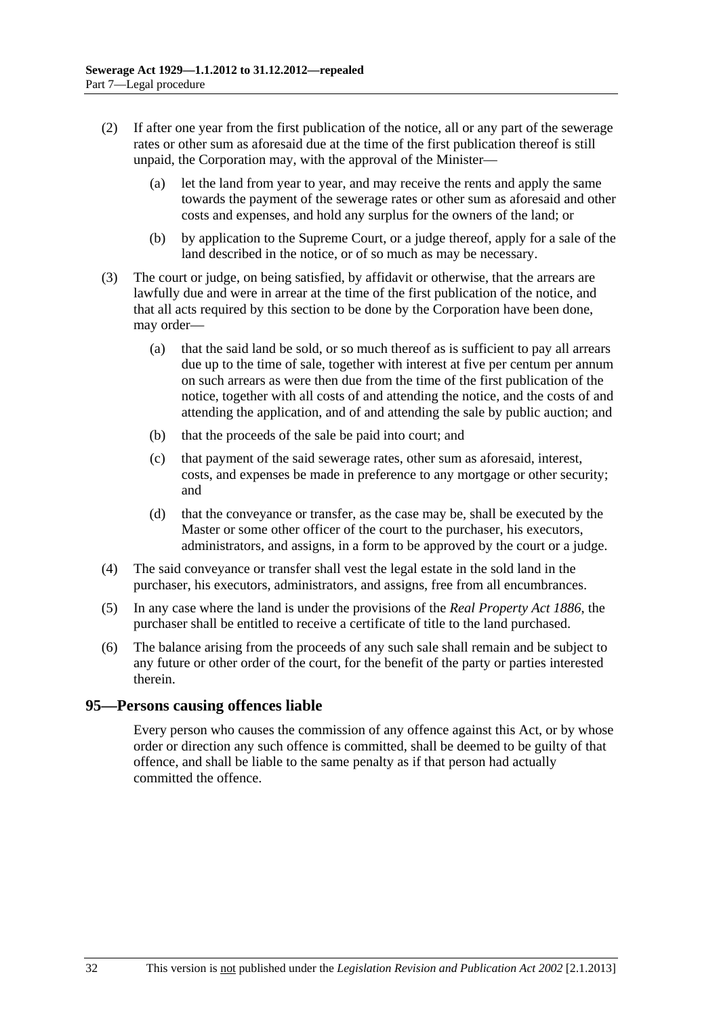- <span id="page-31-0"></span> (2) If after one year from the first publication of the notice, all or any part of the sewerage rates or other sum as aforesaid due at the time of the first publication thereof is still unpaid, the Corporation may, with the approval of the Minister—
	- (a) let the land from year to year, and may receive the rents and apply the same towards the payment of the sewerage rates or other sum as aforesaid and other costs and expenses, and hold any surplus for the owners of the land; or
	- (b) by application to the Supreme Court, or a judge thereof, apply for a sale of the land described in the notice, or of so much as may be necessary.
- (3) The court or judge, on being satisfied, by affidavit or otherwise, that the arrears are lawfully due and were in arrear at the time of the first publication of the notice, and that all acts required by this section to be done by the Corporation have been done, may order—
	- (a) that the said land be sold, or so much thereof as is sufficient to pay all arrears due up to the time of sale, together with interest at five per centum per annum on such arrears as were then due from the time of the first publication of the notice, together with all costs of and attending the notice, and the costs of and attending the application, and of and attending the sale by public auction; and
	- (b) that the proceeds of the sale be paid into court; and
	- (c) that payment of the said sewerage rates, other sum as aforesaid, interest, costs, and expenses be made in preference to any mortgage or other security; and
	- (d) that the conveyance or transfer, as the case may be, shall be executed by the Master or some other officer of the court to the purchaser, his executors, administrators, and assigns, in a form to be approved by the court or a judge.
- (4) The said conveyance or transfer shall vest the legal estate in the sold land in the purchaser, his executors, administrators, and assigns, free from all encumbrances.
- (5) In any case where the land is under the provisions of the *[Real Property Act 1886](http://www.legislation.sa.gov.au/index.aspx?action=legref&type=act&legtitle=Real%20Property%20Act%201886)*, the purchaser shall be entitled to receive a certificate of title to the land purchased.
- (6) The balance arising from the proceeds of any such sale shall remain and be subject to any future or other order of the court, for the benefit of the party or parties interested therein.

# **95—Persons causing offences liable**

Every person who causes the commission of any offence against this Act, or by whose order or direction any such offence is committed, shall be deemed to be guilty of that offence, and shall be liable to the same penalty as if that person had actually committed the offence.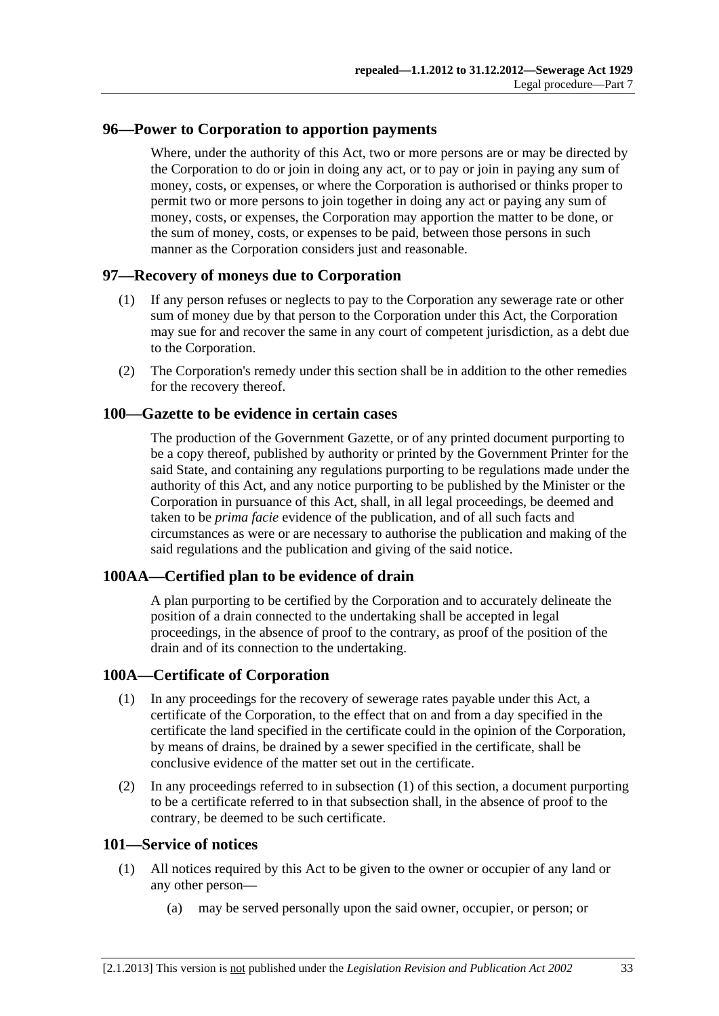### <span id="page-32-0"></span>**96—Power to Corporation to apportion payments**

Where, under the authority of this Act, two or more persons are or may be directed by the Corporation to do or join in doing any act, or to pay or join in paying any sum of money, costs, or expenses, or where the Corporation is authorised or thinks proper to permit two or more persons to join together in doing any act or paying any sum of money, costs, or expenses, the Corporation may apportion the matter to be done, or the sum of money, costs, or expenses to be paid, between those persons in such manner as the Corporation considers just and reasonable.

#### **97—Recovery of moneys due to Corporation**

- (1) If any person refuses or neglects to pay to the Corporation any sewerage rate or other sum of money due by that person to the Corporation under this Act, the Corporation may sue for and recover the same in any court of competent jurisdiction, as a debt due to the Corporation.
- (2) The Corporation's remedy under this section shall be in addition to the other remedies for the recovery thereof.

#### **100—Gazette to be evidence in certain cases**

The production of the Government Gazette, or of any printed document purporting to be a copy thereof, published by authority or printed by the Government Printer for the said State, and containing any regulations purporting to be regulations made under the authority of this Act, and any notice purporting to be published by the Minister or the Corporation in pursuance of this Act, shall, in all legal proceedings, be deemed and taken to be *prima facie* evidence of the publication, and of all such facts and circumstances as were or are necessary to authorise the publication and making of the said regulations and the publication and giving of the said notice.

#### **100AA—Certified plan to be evidence of drain**

A plan purporting to be certified by the Corporation and to accurately delineate the position of a drain connected to the undertaking shall be accepted in legal proceedings, in the absence of proof to the contrary, as proof of the position of the drain and of its connection to the undertaking.

#### **100A—Certificate of Corporation**

- (1) In any proceedings for the recovery of sewerage rates payable under this Act, a certificate of the Corporation, to the effect that on and from a day specified in the certificate the land specified in the certificate could in the opinion of the Corporation, by means of drains, be drained by a sewer specified in the certificate, shall be conclusive evidence of the matter set out in the certificate.
- (2) In any proceedings referred to in [subsection \(1\)](#page-32-0) of this section, a document purporting to be a certificate referred to in that subsection shall, in the absence of proof to the contrary, be deemed to be such certificate.

#### **101—Service of notices**

- (1) All notices required by this Act to be given to the owner or occupier of any land or any other person—
	- (a) may be served personally upon the said owner, occupier, or person; or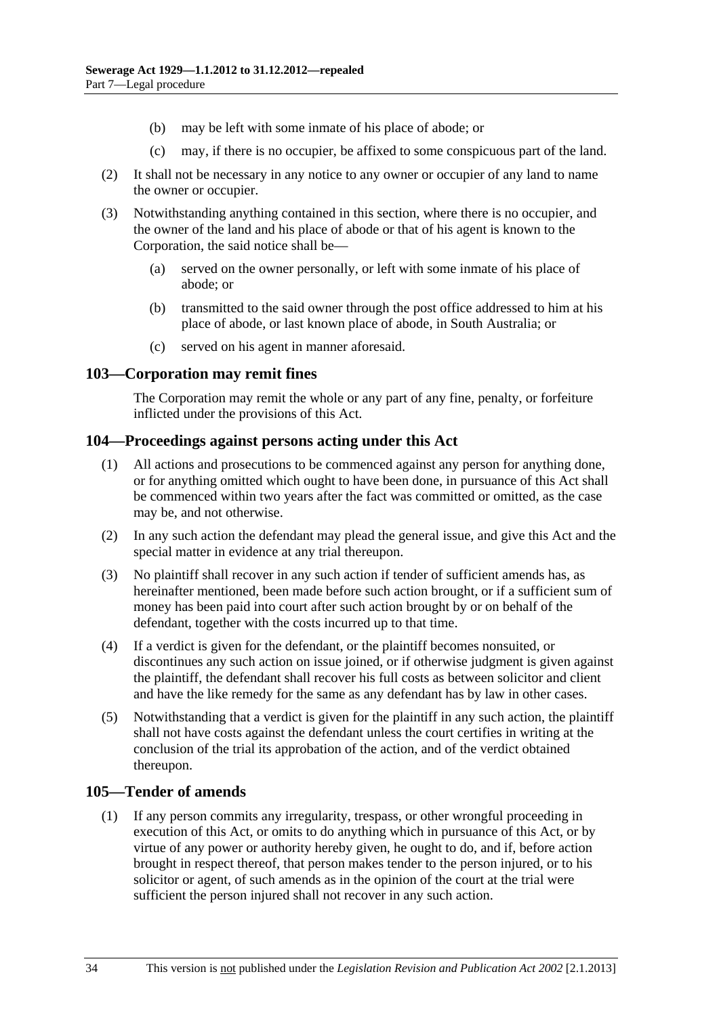- <span id="page-33-0"></span>(b) may be left with some inmate of his place of abode; or
- (c) may, if there is no occupier, be affixed to some conspicuous part of the land.
- (2) It shall not be necessary in any notice to any owner or occupier of any land to name the owner or occupier.
- (3) Notwithstanding anything contained in this section, where there is no occupier, and the owner of the land and his place of abode or that of his agent is known to the Corporation, the said notice shall be—
	- (a) served on the owner personally, or left with some inmate of his place of abode; or
	- (b) transmitted to the said owner through the post office addressed to him at his place of abode, or last known place of abode, in South Australia; or
	- (c) served on his agent in manner aforesaid.

#### **103—Corporation may remit fines**

The Corporation may remit the whole or any part of any fine, penalty, or forfeiture inflicted under the provisions of this Act.

#### **104—Proceedings against persons acting under this Act**

- (1) All actions and prosecutions to be commenced against any person for anything done, or for anything omitted which ought to have been done, in pursuance of this Act shall be commenced within two years after the fact was committed or omitted, as the case may be, and not otherwise.
- (2) In any such action the defendant may plead the general issue, and give this Act and the special matter in evidence at any trial thereupon.
- (3) No plaintiff shall recover in any such action if tender of sufficient amends has, as hereinafter mentioned, been made before such action brought, or if a sufficient sum of money has been paid into court after such action brought by or on behalf of the defendant, together with the costs incurred up to that time.
- (4) If a verdict is given for the defendant, or the plaintiff becomes nonsuited, or discontinues any such action on issue joined, or if otherwise judgment is given against the plaintiff, the defendant shall recover his full costs as between solicitor and client and have the like remedy for the same as any defendant has by law in other cases.
- (5) Notwithstanding that a verdict is given for the plaintiff in any such action, the plaintiff shall not have costs against the defendant unless the court certifies in writing at the conclusion of the trial its approbation of the action, and of the verdict obtained thereupon.

# **105—Tender of amends**

 (1) If any person commits any irregularity, trespass, or other wrongful proceeding in execution of this Act, or omits to do anything which in pursuance of this Act, or by virtue of any power or authority hereby given, he ought to do, and if, before action brought in respect thereof, that person makes tender to the person injured, or to his solicitor or agent, of such amends as in the opinion of the court at the trial were sufficient the person injured shall not recover in any such action.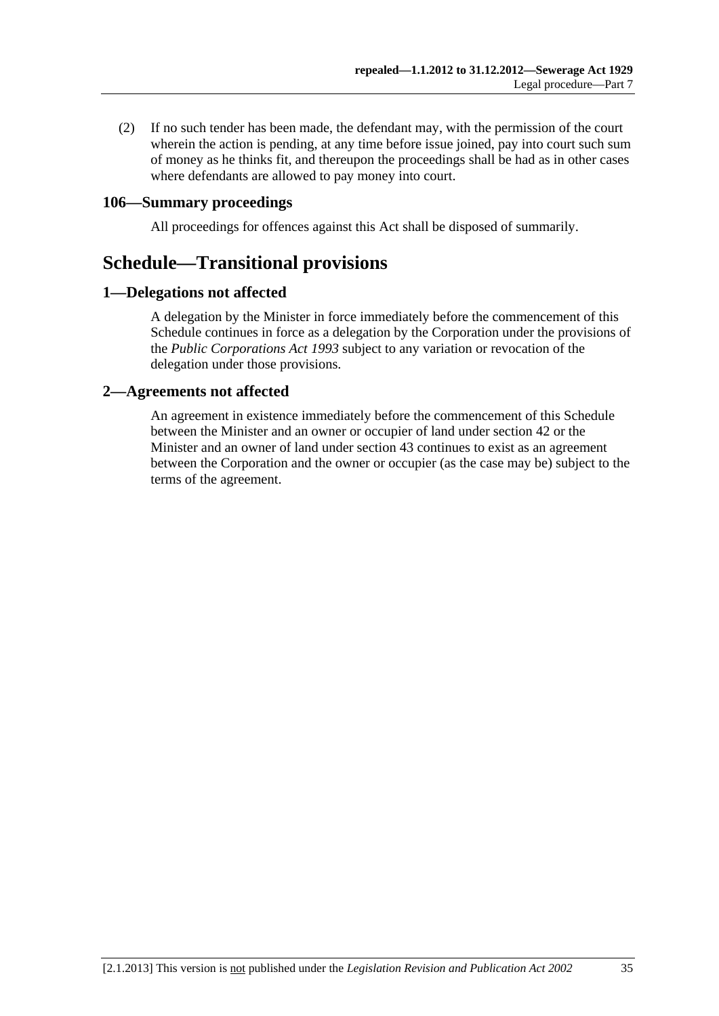<span id="page-34-0"></span> (2) If no such tender has been made, the defendant may, with the permission of the court wherein the action is pending, at any time before issue joined, pay into court such sum of money as he thinks fit, and thereupon the proceedings shall be had as in other cases where defendants are allowed to pay money into court.

# **106—Summary proceedings**

All proceedings for offences against this Act shall be disposed of summarily.

# **Schedule—Transitional provisions**

# **1—Delegations not affected**

A delegation by the Minister in force immediately before the commencement of this Schedule continues in force as a delegation by the Corporation under the provisions of the *[Public Corporations Act 1993](http://www.legislation.sa.gov.au/index.aspx?action=legref&type=act&legtitle=Public%20Corporations%20Act%201993)* subject to any variation or revocation of the delegation under those provisions.

# **2—Agreements not affected**

An agreement in existence immediately before the commencement of this Schedule between the Minister and an owner or occupier of land under [section 42](#page-14-0) or the Minister and an owner of land under [section 43](#page-14-0) continues to exist as an agreement between the Corporation and the owner or occupier (as the case may be) subject to the terms of the agreement.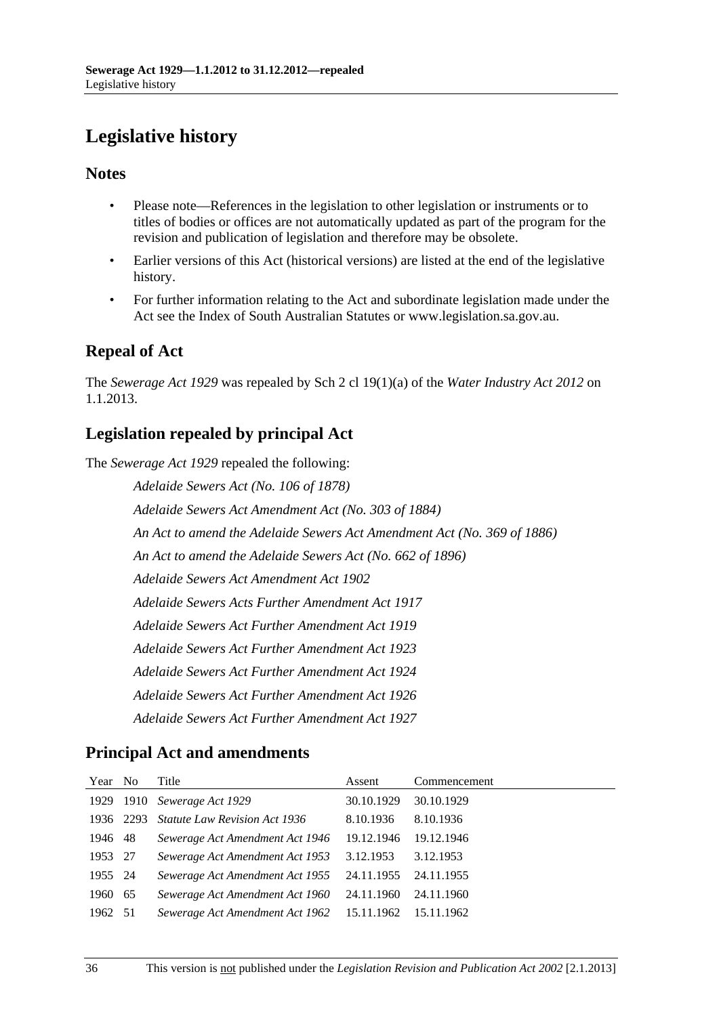# <span id="page-35-0"></span>**Legislative history**

# **Notes**

- Please note—References in the legislation to other legislation or instruments or to titles of bodies or offices are not automatically updated as part of the program for the revision and publication of legislation and therefore may be obsolete.
- Earlier versions of this Act (historical versions) are listed at the end of the legislative history.
- For further information relating to the Act and subordinate legislation made under the Act see the Index of South Australian Statutes or www.legislation.sa.gov.au.

# **Repeal of Act**

The *Sewerage Act 1929* was repealed by Sch 2 cl 19(1)(a) of the *Water Industry Act 2012* on 1.1.2013.

# **Legislation repealed by principal Act**

The *Sewerage Act 1929* repealed the following:

*Adelaide Sewers Act (No. 106 of 1878) Adelaide Sewers Act Amendment Act (No. 303 of 1884) An Act to amend the Adelaide Sewers Act Amendment Act (No. 369 of 1886) An Act to amend the Adelaide Sewers Act (No. 662 of 1896) Adelaide Sewers Act Amendment Act 1902 Adelaide Sewers Acts Further Amendment Act 1917 Adelaide Sewers Act Further Amendment Act 1919 Adelaide Sewers Act Further Amendment Act 1923 Adelaide Sewers Act Further Amendment Act 1924 Adelaide Sewers Act Further Amendment Act 1926 Adelaide Sewers Act Further Amendment Act 1927*

# **Principal Act and amendments**

| Year No |           | Title                                | Assent     | Commencement |
|---------|-----------|--------------------------------------|------------|--------------|
|         |           | 1929 1910 Sewerage Act 1929          | 30.10.1929 | 30.10.1929   |
|         | 1936 2293 | <b>Statute Law Revision Act 1936</b> | 8.10.1936  | 8.10.1936    |
| 1946 48 |           | Sewerage Act Amendment Act 1946      | 19.12.1946 | 19.12.1946   |
| 1953 27 |           | Sewerage Act Amendment Act 1953      | 3.12.1953  | 3.12.1953    |
| 1955 24 |           | Sewerage Act Amendment Act 1955      | 24.11.1955 | 24.11.1955   |
| 1960 65 |           | Sewerage Act Amendment Act 1960      | 24.11.1960 | 24.11.1960   |
| 1962 51 |           | Sewerage Act Amendment Act 1962      | 15.11.1962 | 15.11.1962   |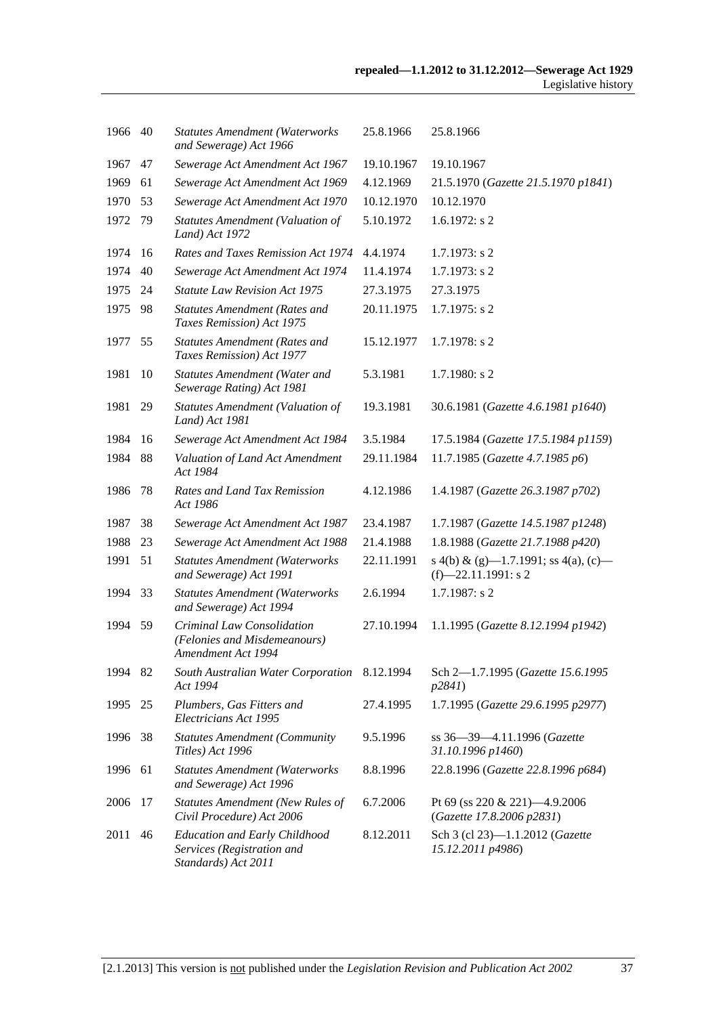| 1966 | 40 | <b>Statutes Amendment (Waterworks</b><br>and Sewerage) Act 1966                           | 25.8.1966  | 25.8.1966                                                      |
|------|----|-------------------------------------------------------------------------------------------|------------|----------------------------------------------------------------|
| 1967 | 47 | Sewerage Act Amendment Act 1967                                                           | 19.10.1967 | 19.10.1967                                                     |
| 1969 | 61 | Sewerage Act Amendment Act 1969                                                           | 4.12.1969  | 21.5.1970 (Gazette 21.5.1970 p1841)                            |
| 1970 | 53 | Sewerage Act Amendment Act 1970                                                           | 10.12.1970 | 10.12.1970                                                     |
| 1972 | 79 | Statutes Amendment (Valuation of<br>Land) Act 1972                                        | 5.10.1972  | $1.6.1972$ : s 2                                               |
| 1974 | 16 | Rates and Taxes Remission Act 1974                                                        | 4.4.1974   | $1.7.1973$ : s 2                                               |
| 1974 | 40 | Sewerage Act Amendment Act 1974                                                           | 11.4.1974  | $1.7.1973$ : s 2                                               |
| 1975 | 24 | <b>Statute Law Revision Act 1975</b>                                                      | 27.3.1975  | 27.3.1975                                                      |
| 1975 | 98 | <b>Statutes Amendment (Rates and</b><br>Taxes Remission) Act 1975                         | 20.11.1975 | $1.7.1975$ : s 2                                               |
| 1977 | 55 | <b>Statutes Amendment (Rates and</b><br>Taxes Remission) Act 1977                         | 15.12.1977 | $1.7.1978$ : s 2                                               |
| 1981 | 10 | <b>Statutes Amendment (Water and</b><br>Sewerage Rating) Act 1981                         | 5.3.1981   | $1.7.1980$ : s 2                                               |
| 1981 | 29 | <b>Statutes Amendment (Valuation of</b><br>Land) Act 1981                                 | 19.3.1981  | 30.6.1981 (Gazette 4.6.1981 p1640)                             |
| 1984 | 16 | Sewerage Act Amendment Act 1984                                                           | 3.5.1984   | 17.5.1984 (Gazette 17.5.1984 p1159)                            |
| 1984 | 88 | Valuation of Land Act Amendment<br>Act 1984                                               | 29.11.1984 | 11.7.1985 (Gazette 4.7.1985 p6)                                |
| 1986 | 78 | Rates and Land Tax Remission<br>Act 1986                                                  | 4.12.1986  | 1.4.1987 (Gazette 26.3.1987 p702)                              |
| 1987 | 38 | Sewerage Act Amendment Act 1987                                                           | 23.4.1987  | 1.7.1987 (Gazette 14.5.1987 p1248)                             |
| 1988 | 23 | Sewerage Act Amendment Act 1988                                                           | 21.4.1988  | 1.8.1988 (Gazette 21.7.1988 p420)                              |
| 1991 | 51 | <b>Statutes Amendment (Waterworks</b><br>and Sewerage) Act 1991                           | 22.11.1991 | s 4(b) & (g)-1.7.1991; ss 4(a), (c)-<br>$(f)$ -22.11.1991: s 2 |
| 1994 | 33 | <b>Statutes Amendment (Waterworks</b><br>and Sewerage) Act 1994                           | 2.6.1994   | 1.7.1987: s 2                                                  |
| 1994 | 59 | Criminal Law Consolidation<br>(Felonies and Misdemeanours)<br>Amendment Act 1994          | 27.10.1994 | 1.1.1995 (Gazette 8.12.1994 p1942)                             |
| 1994 | 82 | South Australian Water Corporation<br>Act 1994                                            | 8.12.1994  | Sch 2-1.7.1995 (Gazette 15.6.1995<br>p2841)                    |
| 1995 | 25 | Plumbers, Gas Fitters and<br>Electricians Act 1995                                        | 27.4.1995  | 1.7.1995 (Gazette 29.6.1995 p2977)                             |
| 1996 | 38 | <b>Statutes Amendment (Community</b><br>Titles) Act 1996                                  | 9.5.1996   | ss 36-39-4.11.1996 (Gazette<br>31.10.1996 p1460)               |
| 1996 | 61 | <b>Statutes Amendment (Waterworks</b><br>and Sewerage) Act 1996                           | 8.8.1996   | 22.8.1996 (Gazette 22.8.1996 p684)                             |
| 2006 | 17 | <b>Statutes Amendment (New Rules of</b><br>Civil Procedure) Act 2006                      | 6.7.2006   | Pt 69 (ss 220 & 221)-4.9.2006<br>(Gazette 17.8.2006 p2831)     |
| 2011 | 46 | <b>Education and Early Childhood</b><br>Services (Registration and<br>Standards) Act 2011 | 8.12.2011  | Sch 3 (cl 23)-1.1.2012 (Gazette<br>15.12.2011 p4986)           |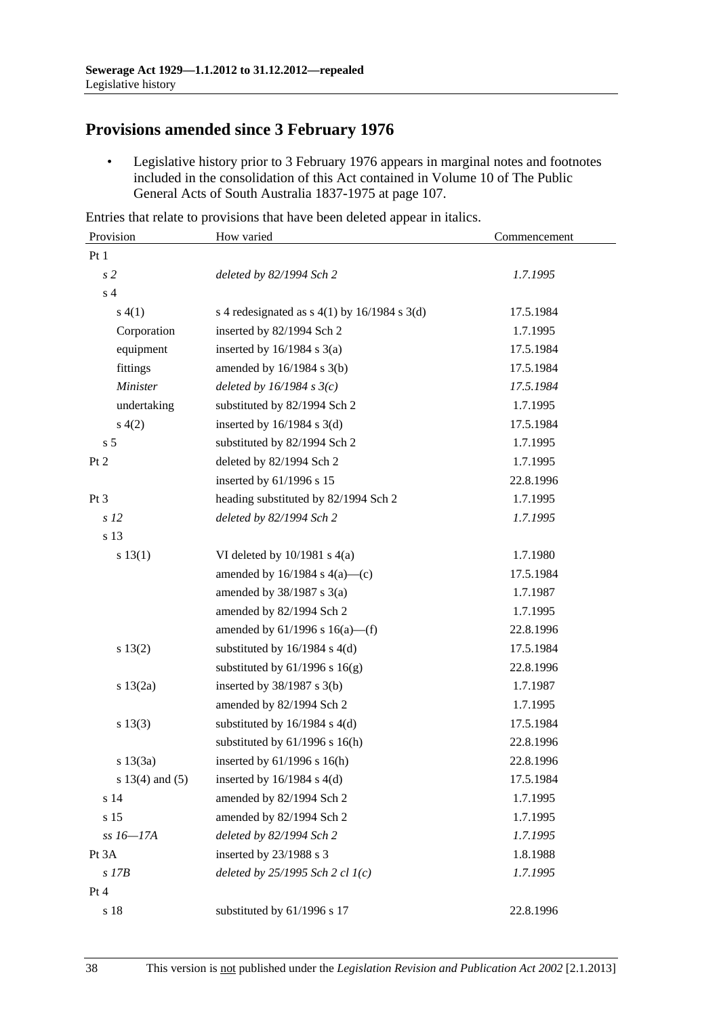# **Provisions amended since 3 February 1976**

 • Legislative history prior to 3 February 1976 appears in marginal notes and footnotes included in the consolidation of this Act contained in Volume 10 of The Public General Acts of South Australia 1837-1975 at page 107.

Entries that relate to provisions that have been deleted appear in italics.

| Provision           | How varied                                     | Commencement |
|---------------------|------------------------------------------------|--------------|
| Pt1                 |                                                |              |
| s <sub>2</sub>      | deleted by 82/1994 Sch 2                       | 1.7.1995     |
| s <sub>4</sub>      |                                                |              |
| s(4(1))             | s 4 redesignated as $s$ 4(1) by 16/1984 s 3(d) | 17.5.1984    |
| Corporation         | inserted by 82/1994 Sch 2                      | 1.7.1995     |
| equipment           | inserted by $16/1984$ s $3(a)$                 | 17.5.1984    |
| fittings            | amended by 16/1984 s 3(b)                      | 17.5.1984    |
| <b>Minister</b>     | deleted by $16/1984$ s $3(c)$                  | 17.5.1984    |
| undertaking         | substituted by 82/1994 Sch 2                   | 1.7.1995     |
| s(4(2)              | inserted by $16/1984$ s $3(d)$                 | 17.5.1984    |
| s <sub>5</sub>      | substituted by 82/1994 Sch 2                   | 1.7.1995     |
| Pt 2                | deleted by 82/1994 Sch 2                       | 1.7.1995     |
|                     | inserted by 61/1996 s 15                       | 22.8.1996    |
| Pt <sub>3</sub>     | heading substituted by 82/1994 Sch 2           | 1.7.1995     |
| s <sub>12</sub>     | deleted by 82/1994 Sch 2                       | 1.7.1995     |
| s 13                |                                                |              |
| s 13(1)             | VI deleted by $10/1981$ s $4(a)$               | 1.7.1980     |
|                     | amended by 16/1984 s 4(a)—(c)                  | 17.5.1984    |
|                     | amended by $38/1987$ s $3(a)$                  | 1.7.1987     |
|                     | amended by 82/1994 Sch 2                       | 1.7.1995     |
|                     | amended by $61/1996$ s $16(a)$ —(f)            | 22.8.1996    |
| s 13(2)             | substituted by $16/1984$ s $4(d)$              | 17.5.1984    |
|                     | substituted by $61/1996$ s $16(g)$             | 22.8.1996    |
| s 13(2a)            | inserted by $38/1987$ s $3(b)$                 | 1.7.1987     |
|                     | amended by 82/1994 Sch 2                       | 1.7.1995     |
| s 13(3)             | substituted by $16/1984$ s $4(d)$              | 17.5.1984    |
|                     | substituted by $61/1996$ s $16(h)$             | 22.8.1996    |
| s 13(3a)            | inserted by 61/1996 s 16(h)                    | 22.8.1996    |
| s $13(4)$ and $(5)$ | inserted by $16/1984$ s $4(d)$                 | 17.5.1984    |
| s 14                | amended by 82/1994 Sch 2                       | 1.7.1995     |
| s 15                | amended by 82/1994 Sch 2                       | 1.7.1995     |
| $ss16 - 17A$        | deleted by 82/1994 Sch 2                       | 1.7.1995     |
| Pt 3A               | inserted by 23/1988 s 3                        | 1.8.1988     |
| $s$ 17 $B$          | deleted by $25/1995$ Sch 2 cl $1(c)$           | 1.7.1995     |
| Pt 4                |                                                |              |
| s 18                | substituted by 61/1996 s 17                    | 22.8.1996    |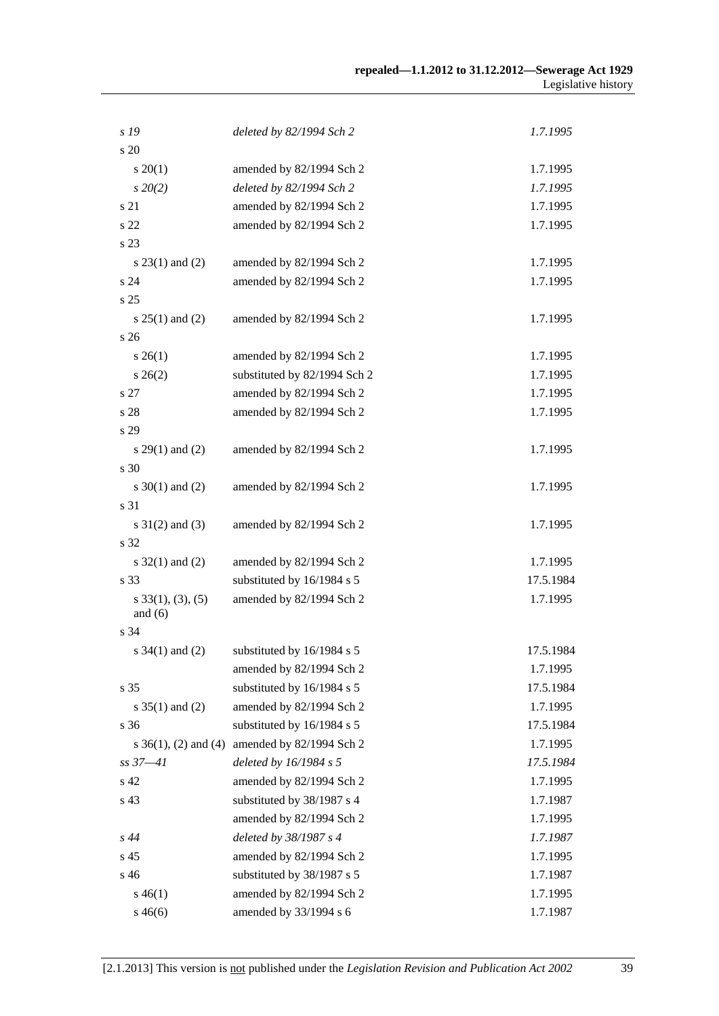| s 19                    | deleted by 82/1994 Sch 2     | 1.7.1995  |
|-------------------------|------------------------------|-----------|
| s 20                    |                              |           |
| $s \ 20(1)$             | amended by 82/1994 Sch 2     | 1.7.1995  |
| $s\,20(2)$              | deleted by 82/1994 Sch 2     | 1.7.1995  |
| s 21                    | amended by 82/1994 Sch 2     | 1.7.1995  |
| s <sub>22</sub>         | amended by 82/1994 Sch 2     | 1.7.1995  |
| s 23                    |                              |           |
| s $23(1)$ and $(2)$     | amended by 82/1994 Sch 2     | 1.7.1995  |
| s 24                    | amended by 82/1994 Sch 2     | 1.7.1995  |
| s 25                    |                              |           |
| s $25(1)$ and $(2)$     | amended by 82/1994 Sch 2     | 1.7.1995  |
| s <sub>26</sub>         |                              |           |
| $s \; 26(1)$            | amended by 82/1994 Sch 2     | 1.7.1995  |
| $s \; 26(2)$            | substituted by 82/1994 Sch 2 | 1.7.1995  |
| s 27                    | amended by 82/1994 Sch 2     | 1.7.1995  |
| s 28                    | amended by 82/1994 Sch 2     | 1.7.1995  |
| s 29                    |                              |           |
| s $29(1)$ and $(2)$     | amended by 82/1994 Sch 2     | 1.7.1995  |
| s 30                    |                              |           |
| s $30(1)$ and (2)       | amended by 82/1994 Sch 2     | 1.7.1995  |
| s 31                    |                              |           |
| $s \ 31(2)$ and (3)     | amended by 82/1994 Sch 2     | 1.7.1995  |
| s 32                    |                              |           |
| s $32(1)$ and $(2)$     | amended by 82/1994 Sch 2     | 1.7.1995  |
| s 33                    | substituted by 16/1984 s 5   | 17.5.1984 |
| $s$ 33(1), (3), (5)     | amended by 82/1994 Sch 2     | 1.7.1995  |
| and $(6)$               |                              |           |
| s 34                    |                              |           |
| s $34(1)$ and (2)       | substituted by 16/1984 s 5   | 17.5.1984 |
|                         | amended by 82/1994 Sch 2     | 1.7.1995  |
| s 35                    | substituted by 16/1984 s 5   | 17.5.1984 |
| s $35(1)$ and (2)       | amended by 82/1994 Sch 2     | 1.7.1995  |
| s 36                    | substituted by 16/1984 s 5   | 17.5.1984 |
| s $36(1)$ , (2) and (4) | amended by 82/1994 Sch 2     | 1.7.1995  |
| $ss\,37 - 41$           | deleted by 16/1984 s 5       | 17.5.1984 |
| s 42                    | amended by 82/1994 Sch 2     | 1.7.1995  |
| s 43                    | substituted by 38/1987 s 4   | 1.7.1987  |
|                         | amended by 82/1994 Sch 2     | 1.7.1995  |
| $s\,44$                 | deleted by 38/1987 s 4       | 1.7.1987  |
| s 45                    | amended by 82/1994 Sch 2     | 1.7.1995  |
| s 46                    | substituted by 38/1987 s 5   | 1.7.1987  |
| $s\,46(1)$              | amended by 82/1994 Sch 2     | 1.7.1995  |
| $s\,46(6)$              | amended by 33/1994 s 6       | 1.7.1987  |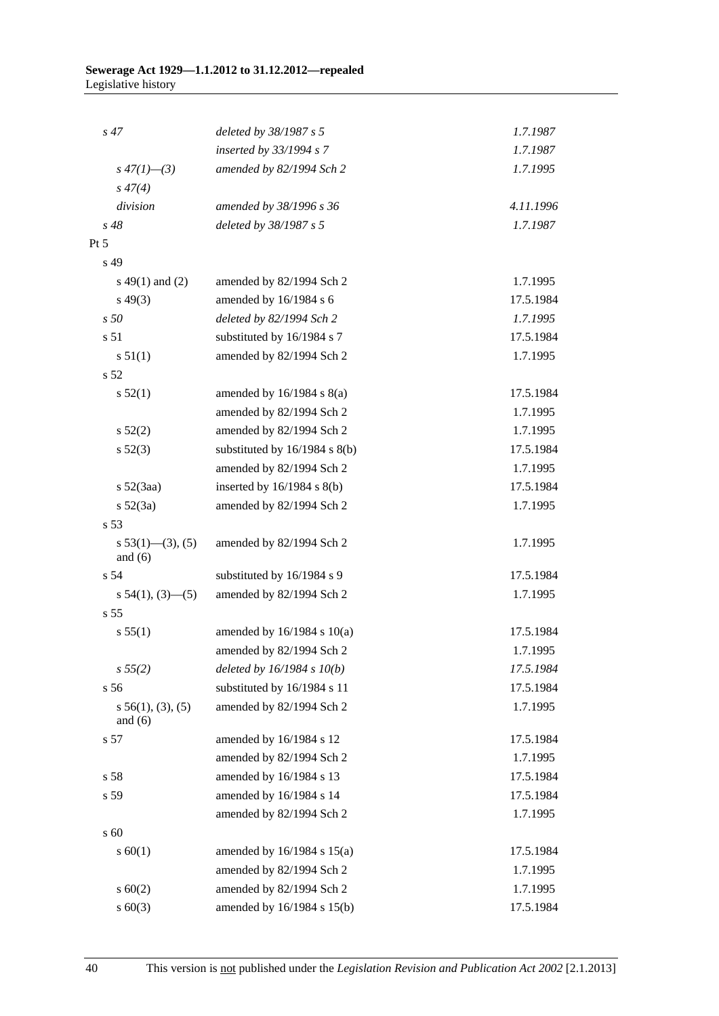| s <sub>47</sub>                   | deleted by 38/1987 s 5            | 1.7.1987  |
|-----------------------------------|-----------------------------------|-----------|
|                                   | inserted by 33/1994 s 7           | 1.7.1987  |
| $s\,47(1)$ —(3)                   | amended by 82/1994 Sch 2          | 1.7.1995  |
| $s\,47(4)$                        |                                   |           |
| division                          | amended by 38/1996 s 36           | 4.11.1996 |
| $s\,48$                           | deleted by 38/1987 s 5            | 1.7.1987  |
| Pt 5                              |                                   |           |
| s 49                              |                                   |           |
| $s\ 49(1)$ and (2)                | amended by 82/1994 Sch 2          | 1.7.1995  |
| $s\,49(3)$                        | amended by 16/1984 s 6            | 17.5.1984 |
| s50                               | deleted by 82/1994 Sch 2          | 1.7.1995  |
| s 51                              | substituted by 16/1984 s 7        | 17.5.1984 |
| s 51(1)                           | amended by 82/1994 Sch 2          | 1.7.1995  |
| s 52                              |                                   |           |
| s 52(1)                           | amended by $16/1984$ s $8(a)$     | 17.5.1984 |
|                                   | amended by 82/1994 Sch 2          | 1.7.1995  |
| s 52(2)                           | amended by 82/1994 Sch 2          | 1.7.1995  |
| $s\,52(3)$                        | substituted by $16/1984$ s $8(b)$ | 17.5.1984 |
|                                   | amended by 82/1994 Sch 2          | 1.7.1995  |
| $s\,52(3aa)$                      | inserted by $16/1984$ s $8(b)$    | 17.5.1984 |
| $s\ 52(3a)$                       | amended by 82/1994 Sch 2          | 1.7.1995  |
| s 53                              |                                   |           |
| $s\ 53(1)$ (3), (5)<br>and $(6)$  | amended by 82/1994 Sch 2          | 1.7.1995  |
| s <sub>54</sub>                   | substituted by 16/1984 s 9        | 17.5.1984 |
| $s\ 54(1), (3)$ —(5)              | amended by 82/1994 Sch 2          | 1.7.1995  |
| s 55                              |                                   |           |
| s 55(1)                           | amended by 16/1984 s 10(a)        | 17.5.1984 |
|                                   | amended by 82/1994 Sch 2          | 1.7.1995  |
| s 55(2)                           | deleted by $16/1984 s 10(b)$      | 17.5.1984 |
| s 56                              | substituted by 16/1984 s 11       | 17.5.1984 |
| $s\,56(1), (3), (5)$<br>and $(6)$ | amended by 82/1994 Sch 2          | 1.7.1995  |
| s 57                              | amended by 16/1984 s 12           | 17.5.1984 |
|                                   | amended by 82/1994 Sch 2          | 1.7.1995  |
| s 58                              | amended by 16/1984 s 13           | 17.5.1984 |
| s 59                              | amended by 16/1984 s 14           | 17.5.1984 |
|                                   | amended by 82/1994 Sch 2          | 1.7.1995  |
| s 60                              |                                   |           |
| s 60(1)                           | amended by $16/1984$ s $15(a)$    | 17.5.1984 |
|                                   | amended by 82/1994 Sch 2          | 1.7.1995  |
| $s \ 60(2)$                       | amended by 82/1994 Sch 2          | 1.7.1995  |
| $s \ 60(3)$                       | amended by 16/1984 s 15(b)        | 17.5.1984 |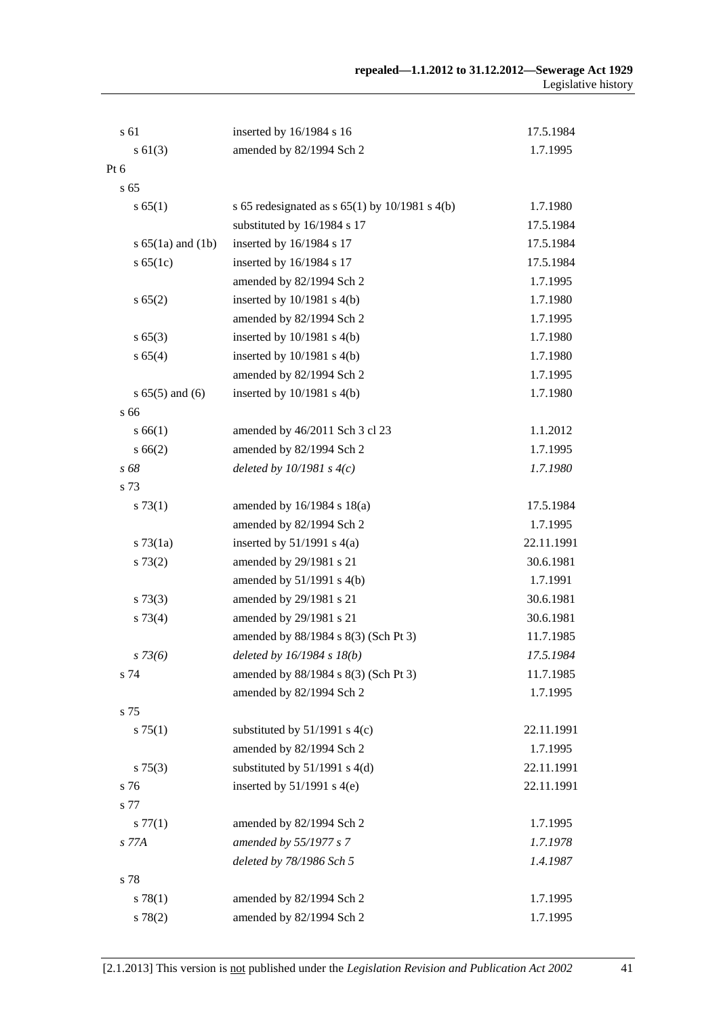| s 61                  | inserted by 16/1984 s 16                         | 17.5.1984  |
|-----------------------|--------------------------------------------------|------------|
| $s \ 61(3)$           | amended by 82/1994 Sch 2                         | 1.7.1995   |
| Pt 6                  |                                                  |            |
| s <sub>65</sub>       |                                                  |            |
| s 65(1)               | s 65 redesignated as $s$ 65(1) by 10/1981 s 4(b) | 1.7.1980   |
|                       | substituted by 16/1984 s 17                      | 17.5.1984  |
| s $65(1a)$ and $(1b)$ | inserted by 16/1984 s 17                         | 17.5.1984  |
| s 65(1c)              | inserted by 16/1984 s 17                         | 17.5.1984  |
|                       | amended by 82/1994 Sch 2                         | 1.7.1995   |
| s 65(2)               | inserted by $10/1981$ s $4(b)$                   | 1.7.1980   |
|                       | amended by 82/1994 Sch 2                         | 1.7.1995   |
| s 65(3)               | inserted by $10/1981$ s $4(b)$                   | 1.7.1980   |
| s 65(4)               | inserted by 10/1981 s 4(b)                       | 1.7.1980   |
|                       | amended by 82/1994 Sch 2                         | 1.7.1995   |
| $s 65(5)$ and $(6)$   | inserted by $10/1981$ s $4(b)$                   | 1.7.1980   |
| s 66                  |                                                  |            |
| s 66(1)               | amended by 46/2011 Sch 3 cl 23                   | 1.1.2012   |
| s 66(2)               | amended by 82/1994 Sch 2                         | 1.7.1995   |
| s 68                  | deleted by $10/1981 s 4(c)$                      | 1.7.1980   |
| s 73                  |                                                  |            |
| s 73(1)               | amended by $16/1984$ s $18(a)$                   | 17.5.1984  |
|                       | amended by 82/1994 Sch 2                         | 1.7.1995   |
| $s \, 73(1a)$         | inserted by $51/1991$ s $4(a)$                   | 22.11.1991 |
| s 73(2)               | amended by 29/1981 s 21                          | 30.6.1981  |
|                       | amended by $51/1991$ s $4(b)$                    | 1.7.1991   |
| $s \, 73(3)$          | amended by 29/1981 s 21                          | 30.6.1981  |
| $s \, 73(4)$          | amended by 29/1981 s 21                          | 30.6.1981  |
|                       | amended by 88/1984 s 8(3) (Sch Pt 3)             | 11.7.1985  |
| $s \, 73(6)$          | deleted by $16/1984 s 18(b)$                     | 17.5.1984  |
| s 74                  | amended by 88/1984 s 8(3) (Sch Pt 3)             | 11.7.1985  |
|                       | amended by 82/1994 Sch 2                         | 1.7.1995   |
| s 75                  |                                                  |            |
| s 75(1)               | substituted by $51/1991$ s 4(c)                  | 22.11.1991 |
|                       | amended by 82/1994 Sch 2                         | 1.7.1995   |
| $s \, 75(3)$          | substituted by $51/1991$ s $4(d)$                | 22.11.1991 |
| s 76                  | inserted by $51/1991$ s 4(e)                     | 22.11.1991 |
| s 77                  |                                                  |            |
| $s \, 77(1)$          | amended by 82/1994 Sch 2                         | 1.7.1995   |
| s 77A                 | amended by 55/1977 s 7                           | 1.7.1978   |
|                       | deleted by 78/1986 Sch 5                         | 1.4.1987   |
| s 78                  |                                                  |            |
| s 78(1)               | amended by 82/1994 Sch 2                         | 1.7.1995   |
| s 78(2)               | amended by 82/1994 Sch 2                         | 1.7.1995   |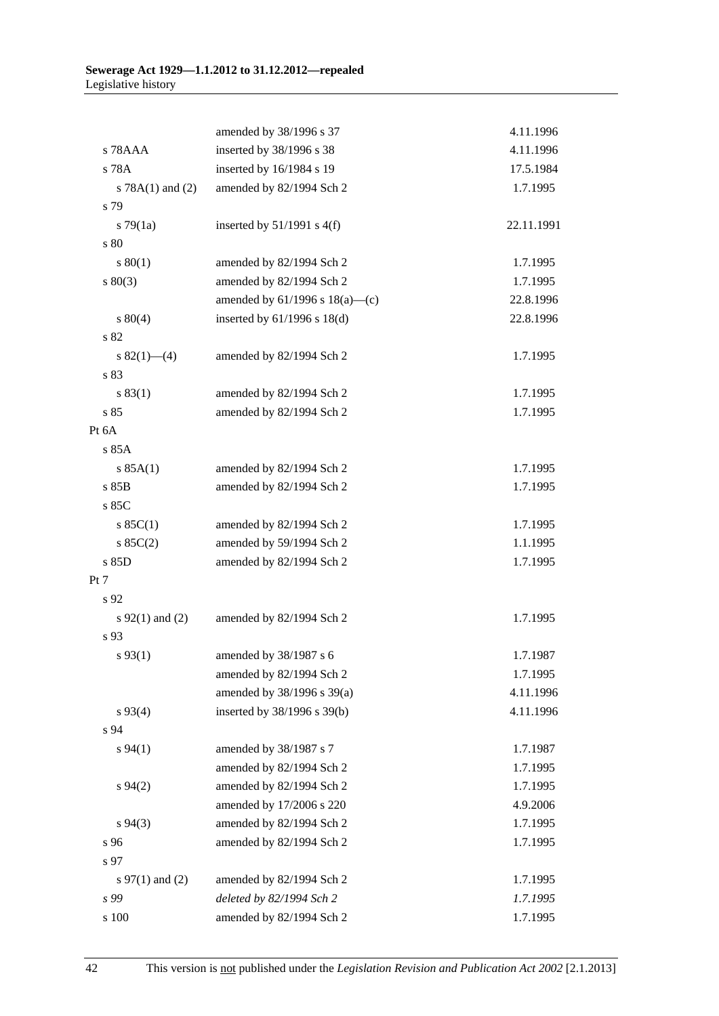|                      | amended by 38/1996 s 37                              | 4.11.1996            |
|----------------------|------------------------------------------------------|----------------------|
| s 78AAA              | inserted by 38/1996 s 38                             | 4.11.1996            |
| s 78A                | inserted by 16/1984 s 19                             | 17.5.1984            |
| s $78A(1)$ and $(2)$ | amended by 82/1994 Sch 2                             | 1.7.1995             |
| s 79                 |                                                      |                      |
| $s \, 79(1a)$        | inserted by $51/1991$ s $4(f)$                       | 22.11.1991           |
| s 80                 |                                                      |                      |
| $s\,80(1)$           | amended by 82/1994 Sch 2                             | 1.7.1995             |
| $s\ 80(3)$           | amended by 82/1994 Sch 2                             | 1.7.1995             |
|                      | amended by $61/1996$ s $18(a)$ —(c)                  | 22.8.1996            |
| $s\ 80(4)$           | inserted by $61/1996$ s $18(d)$                      | 22.8.1996            |
| s 82                 |                                                      |                      |
| s $82(1)$ (4)        | amended by 82/1994 Sch 2                             | 1.7.1995             |
| s 83                 |                                                      |                      |
| s 83(1)              | amended by 82/1994 Sch 2                             | 1.7.1995             |
| s85                  | amended by 82/1994 Sch 2                             | 1.7.1995             |
| Pt 6A                |                                                      |                      |
| s 85A                |                                                      |                      |
| s 85A(1)             | amended by 82/1994 Sch 2                             | 1.7.1995             |
| s 85B                | amended by 82/1994 Sch 2                             | 1.7.1995             |
| s 85C                |                                                      |                      |
| s 85C(1)             | amended by 82/1994 Sch 2                             | 1.7.1995             |
| $s \ 85C(2)$         | amended by 59/1994 Sch 2                             | 1.1.1995             |
| s 85D                | amended by 82/1994 Sch 2                             | 1.7.1995             |
| Pt 7                 |                                                      |                      |
| s 92                 |                                                      |                      |
| s $92(1)$ and (2)    | amended by 82/1994 Sch 2                             | 1.7.1995             |
| s 93                 |                                                      |                      |
| $s\,93(1)$           | amended by 38/1987 s 6                               | 1.7.1987             |
|                      | amended by 82/1994 Sch 2                             | 1.7.1995             |
|                      | amended by 38/1996 s 39(a)                           | 4.11.1996            |
| $s\,93(4)$           | inserted by 38/1996 s 39(b)                          | 4.11.1996            |
| s 94                 |                                                      |                      |
| $s\,94(1)$           | amended by 38/1987 s 7                               | 1.7.1987             |
| s 94(2)              | amended by 82/1994 Sch 2                             | 1.7.1995<br>1.7.1995 |
|                      | amended by 82/1994 Sch 2<br>amended by 17/2006 s 220 | 4.9.2006             |
| $s\,94(3)$           | amended by 82/1994 Sch 2                             | 1.7.1995             |
| s 96                 | amended by 82/1994 Sch 2                             | 1.7.1995             |
| s 97                 |                                                      |                      |
| s $97(1)$ and (2)    | amended by 82/1994 Sch 2                             | 1.7.1995             |
| s 99                 | deleted by 82/1994 Sch 2                             | 1.7.1995             |
| s 100                | amended by 82/1994 Sch 2                             | 1.7.1995             |
|                      |                                                      |                      |